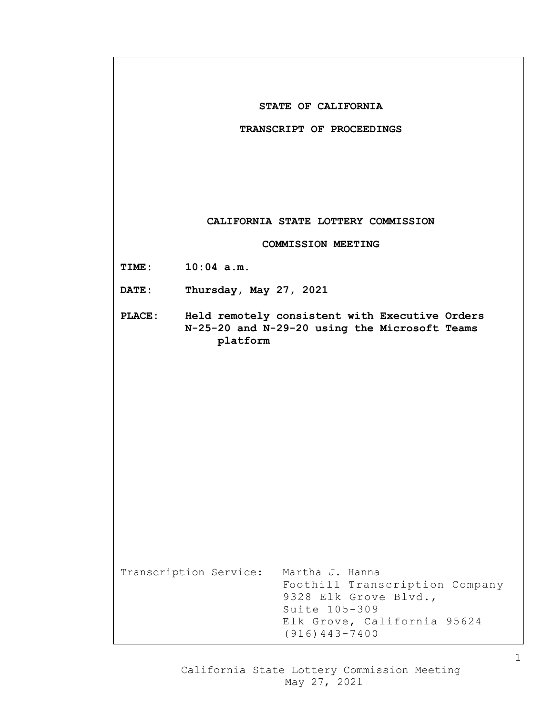|               | STATE OF CALIFORNIA                                                                                                                                                        |
|---------------|----------------------------------------------------------------------------------------------------------------------------------------------------------------------------|
|               | TRANSCRIPT OF PROCEEDINGS                                                                                                                                                  |
|               |                                                                                                                                                                            |
|               | CALIFORNIA STATE LOTTERY COMMISSION                                                                                                                                        |
|               | <b>COMMISSION MEETING</b>                                                                                                                                                  |
| TIME:         | $10:04$ a.m.                                                                                                                                                               |
| <b>DATE:</b>  | Thursday, May 27, 2021                                                                                                                                                     |
| <b>PLACE:</b> | Held remotely consistent with Executive Orders<br>N-25-20 and N-29-20 using the Microsoft Teams<br>platform                                                                |
|               |                                                                                                                                                                            |
|               |                                                                                                                                                                            |
|               |                                                                                                                                                                            |
|               |                                                                                                                                                                            |
|               |                                                                                                                                                                            |
|               | Transcription Service:<br>Martha J. Hanna<br>Foothill Transcription Company<br>9328 Elk Grove Blvd.,<br>Suite 105-309<br>Elk Grove, California 95624<br>$(916) 443 - 7400$ |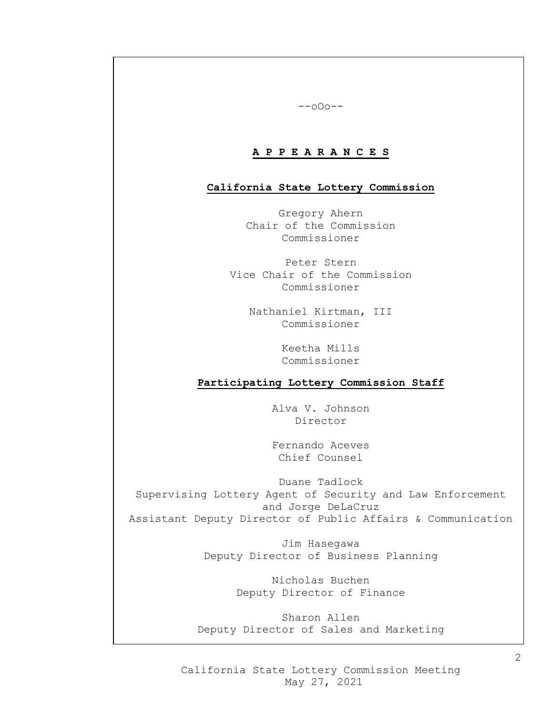#### --oOo--

## **A P P E A R A N C E S**

### **California State Lottery Commission**

Gregory Ahern Chair of the Commission Commissioner

Peter Stern Vice Chair of the Commission Commissioner

> Nathaniel Kirtman, III Commissioner

> > Keetha Mills Commissioner

## **Participating Lottery Commission Staff**

Alva V. Johnson Director

Fernando Aceves Chief Counsel

Duane Tadlock Supervising Lottery Agent of Security and Law Enforcement and Jorge DeLaCruz Assistant Deputy Director of Public Affairs & Communication

> Jim Hasegawa Deputy Director of Business Planning

> > Nicholas Buchen Deputy Director of Finance

Sharon Allen Deputy Director of Sales and Marketing

California State Lottery Commission Meeting May 27, 2021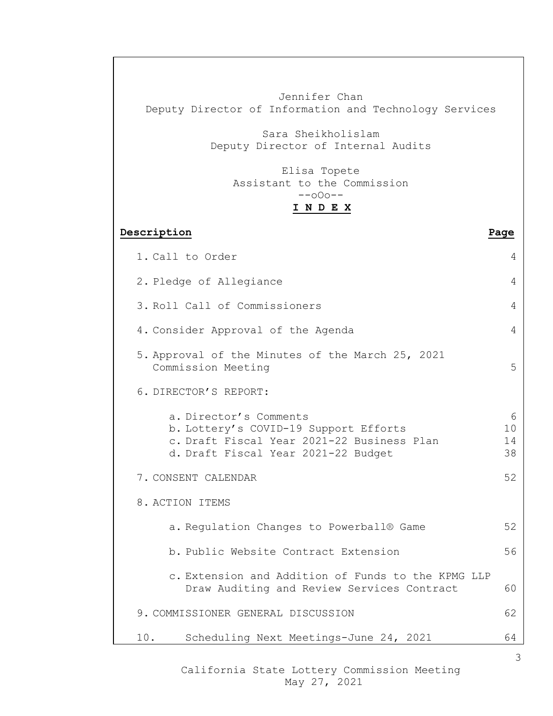Jennifer Chan Deputy Director of Information and Technology Services Sara Sheikholislam Deputy Director of Internal Audits Elisa Topete Assistant to the Commission --oOo-- **I N D E X Description Page** 1. Call to Order 4 2. Pledge of Allegiance 4 3. Roll Call of Commissioners 4 4. Consider Approval of the Agenda 4 5. Approval of the Minutes of the March 25, 2021 Commission Meeting 5 6. DIRECTOR'S REPORT: a. Director's Comments<br>
b. Lottery's COVID-19 Support Efforts 10 b. Lottery's COVID-19 Support Efforts c. Draft Fiscal Year 2021-22 Business Plan 14<br>d. Draft Fiscal Year 2021-22 Budget 38 d. Draft Fiscal Year 2021-22 Budget 7. CONSENT CALENDAR 52 8. ACTION ITEMS a. Regulation Changes to Powerball<sup>®</sup> Game 52 b. Public Website Contract Extension 56 c. Extension and Addition of Funds to the KPMG LLP Draw Auditing and Review Services Contract 60 9. COMMISSIONER GENERAL DISCUSSION 62 10. Scheduling Next Meetings-June 24, 2021 64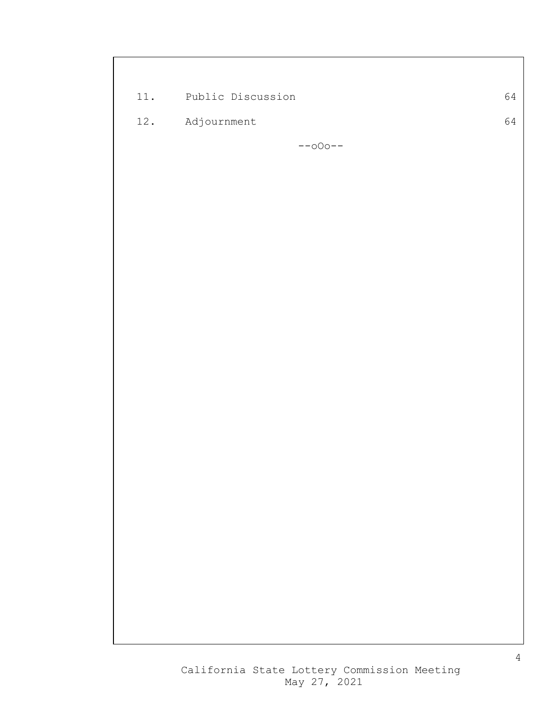| 11. | Public Discussion | 64 |
|-----|-------------------|----|
| 12. | Adjournment       | 64 |
|     | $--000--$         |    |
|     |                   |    |
|     |                   |    |
|     |                   |    |
|     |                   |    |
|     |                   |    |
|     |                   |    |
|     |                   |    |
|     |                   |    |
|     |                   |    |
|     |                   |    |
|     |                   |    |
|     |                   |    |
|     |                   |    |
|     |                   |    |
|     |                   |    |
|     |                   |    |
|     |                   |    |
|     |                   |    |
|     |                   |    |
|     |                   |    |
|     |                   |    |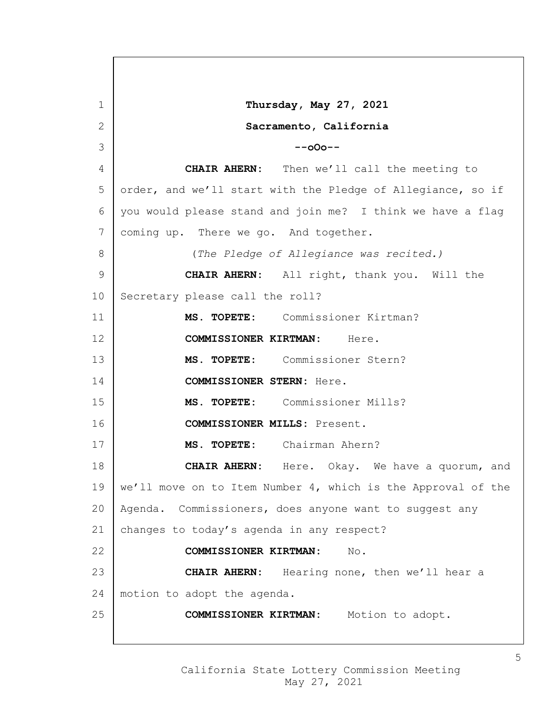**Thursday, May 27, 2021 Sacramento, California --oOo-- CHAIR AHERN:** Then we'll call the meeting to 5 order, and we'll start with the Pledge of Allegiance, so if you would please stand and join me? I think we have a flag coming up. There we go. And together. (*The Pledge of Allegiance was recited.)* **CHAIR AHERN:** All right, thank you. Will the 10 Secretary please call the roll? **MS. TOPETE:** Commissioner Kirtman? **COMMISSIONER KIRTMAN:** Here. **MS. TOPETE:** Commissioner Stern? **COMMISSIONER STERN:** Here. **MS. TOPETE:** Commissioner Mills? **COMMISSIONER MILLS:** Present. **MS. TOPETE:** Chairman Ahern? **CHAIR AHERN:** Here. Okay. We have a quorum, and 19 | we'll move on to Item Number 4, which is the Approval of the Agenda. Commissioners, does anyone want to suggest any 21 changes to today's agenda in any respect? **COMMISSIONER KIRTMAN:** No. **CHAIR AHERN:** Hearing none, then we'll hear a motion to adopt the agenda. **COMMISSIONER KIRTMAN:** Motion to adopt.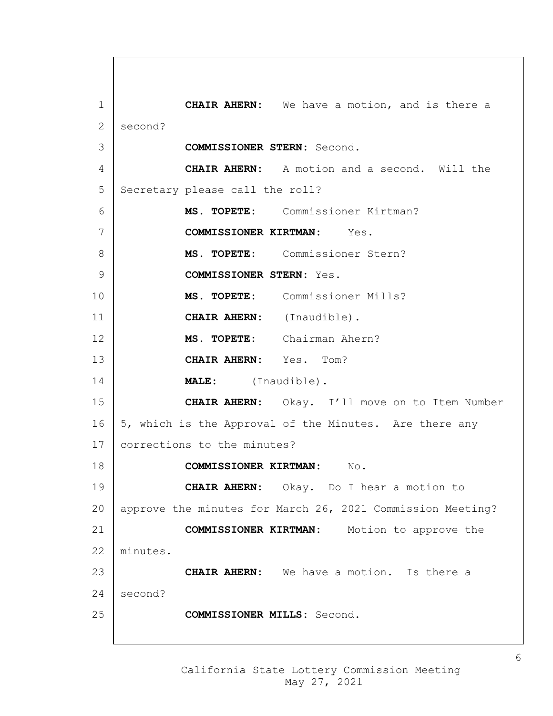**CHAIR AHERN:** We have a motion, and is there a 2 second? **COMMISSIONER STERN:** Second. **CHAIR AHERN:** A motion and a second. Will the 5 Secretary please call the roll? **MS. TOPETE:** Commissioner Kirtman? **COMMISSIONER KIRTMAN:** Yes. **MS. TOPETE:** Commissioner Stern? **COMMISSIONER STERN:** Yes. **MS. TOPETE:** Commissioner Mills? **CHAIR AHERN:** (Inaudible). **MS. TOPETE:** Chairman Ahern? **CHAIR AHERN:** Yes. Tom? **MALE:** (Inaudible). **CHAIR AHERN:** Okay. I'll move on to Item Number  $\vert$  5, which is the Approval of the Minutes. Are there any 17 corrections to the minutes? **COMMISSIONER KIRTMAN:** No. **CHAIR AHERN:** Okay. Do I hear a motion to approve the minutes for March 26, 2021 Commission Meeting? **COMMISSIONER KIRTMAN:** Motion to approve the minutes. **CHAIR AHERN:** We have a motion. Is there a second? **COMMISSIONER MILLS:** Second.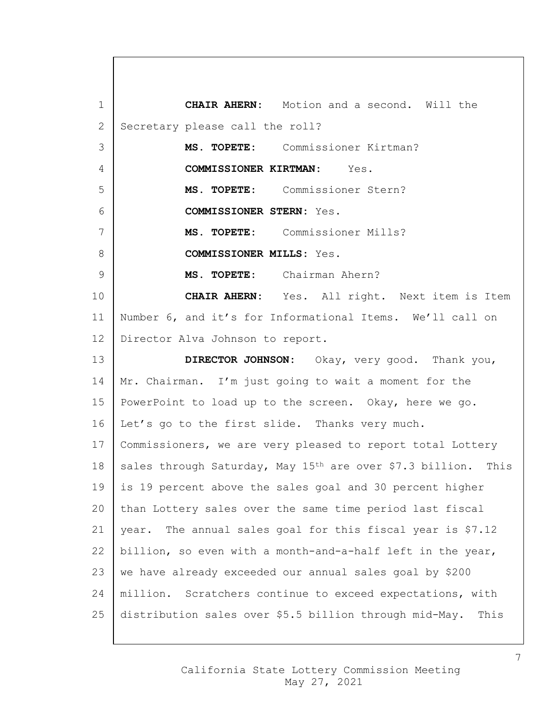1 **CHAIR AHERN:** Motion and a second. Will the 2 Secretary please call the roll? 3 **MS. TOPETE:** Commissioner Kirtman? 4 **COMMISSIONER KIRTMAN:** Yes. 5 **MS. TOPETE:** Commissioner Stern? 6 **COMMISSIONER STERN:** Yes. 7 **MS. TOPETE:** Commissioner Mills? 8 **COMMISSIONER MILLS:** Yes. 9 **MS. TOPETE:** Chairman Ahern? 10 **CHAIR AHERN:** Yes. All right. Next item is Item 11 Number 6, and it's for Informational Items. We'll call on 12 | Director Alva Johnson to report. 13 **DIRECTOR JOHNSON:** Okay, very good. Thank you, 14 Mr. Chairman. I'm just going to wait a moment for the 15 | PowerPoint to load up to the screen. Okay, here we go. 16 | Let's go to the first slide. Thanks very much. 17 | Commissioners, we are very pleased to report total Lottery 18 sales through Saturday, May 15<sup>th</sup> are over \$7.3 billion. This 19 is 19 percent above the sales goal and 30 percent higher 20 than Lottery sales over the same time period last fiscal 21 | year. The annual sales goal for this fiscal year is  $$7.12$ 22 | billion, so even with a month-and-a-half left in the year, 23 we have already exceeded our annual sales goal by \$200 24 | million. Scratchers continue to exceed expectations, with 25 distribution sales over \$5.5 billion through mid-May. This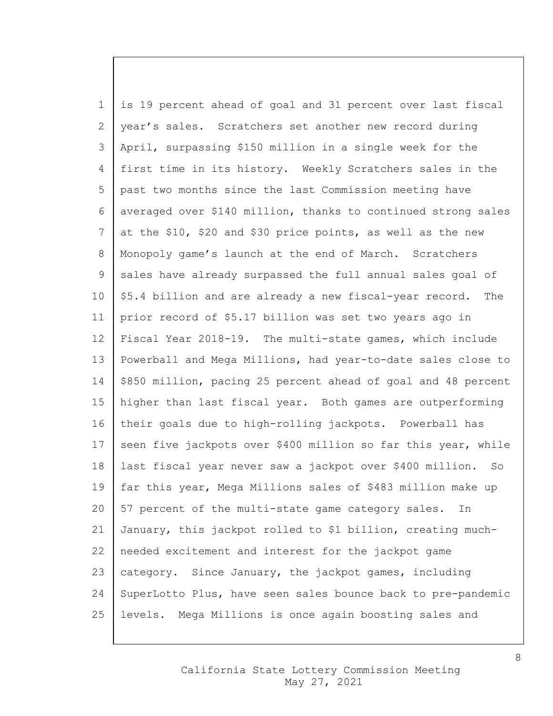is 19 percent ahead of goal and 31 percent over last fiscal 2 year's sales. Scratchers set another new record during April, surpassing \$150 million in a single week for the first time in its history. Weekly Scratchers sales in the past two months since the last Commission meeting have averaged over \$140 million, thanks to continued strong sales at the \$10, \$20 and \$30 price points, as well as the new 8 | Monopoly game's launch at the end of March. Scratchers 9 sales have already surpassed the full annual sales goal of | \$5.4 billion and are already a new fiscal-year record. The prior record of \$5.17 billion was set two years ago in Fiscal Year 2018-19. The multi-state games, which include Powerball and Mega Millions, had year-to-date sales close to | \$850 million, pacing 25 percent ahead of goal and 48 percent higher than last fiscal year. Both games are outperforming their goals due to high-rolling jackpots. Powerball has 17 | seen five jackpots over \$400 million so far this year, while last fiscal year never saw a jackpot over \$400 million. So far this year, Mega Millions sales of \$483 million make up  $20\,$  | 57 percent of the multi-state game category sales. In January, this jackpot rolled to \$1 billion, creating much- needed excitement and interest for the jackpot game 23 category. Since January, the jackpot games, including 24 SuperLotto Plus, have seen sales bounce back to pre-pandemic levels. Mega Millions is once again boosting sales and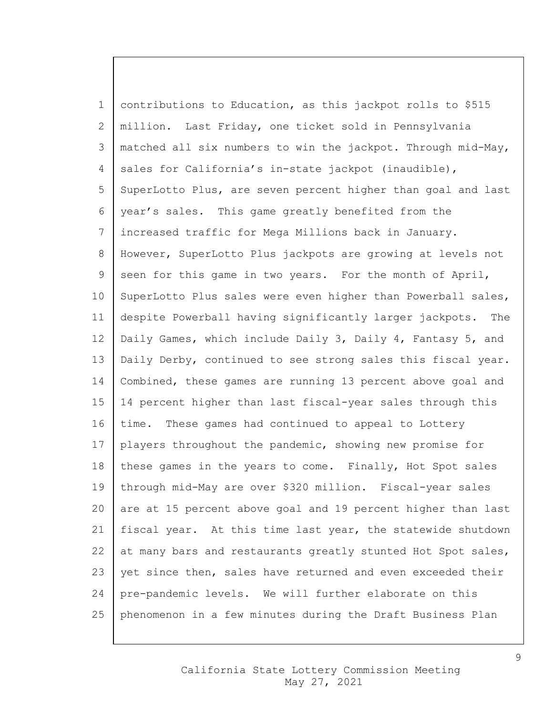1 contributions to Education, as this jackpot rolls to \$515 2 million. Last Friday, one ticket sold in Pennsylvania 3 matched all six numbers to win the jackpot. Through mid-May, 4 sales for California's in-state jackpot (inaudible), 5 SuperLotto Plus, are seven percent higher than goal and last 6 year's sales. This game greatly benefited from the 7 increased traffic for Mega Millions back in January. 8 However, SuperLotto Plus jackpots are growing at levels not 9 seen for this game in two years. For the month of April, 10 | SuperLotto Plus sales were even higher than Powerball sales, 11 despite Powerball having significantly larger jackpots. The 12 | Daily Games, which include Daily 3, Daily 4, Fantasy 5, and 13 | Daily Derby, continued to see strong sales this fiscal year. 14 Combined, these games are running 13 percent above goal and 15 14 percent higher than last fiscal-year sales through this 16 time. These games had continued to appeal to Lottery 17 players throughout the pandemic, showing new promise for 18 these games in the years to come. Finally, Hot Spot sales 19 through mid-May are over \$320 million. Fiscal-year sales 20 are at 15 percent above goal and 19 percent higher than last 21 fiscal year. At this time last year, the statewide shutdown 22 at many bars and restaurants greatly stunted Hot Spot sales, 23 vet since then, sales have returned and even exceeded their 24 pre-pandemic levels. We will further elaborate on this 25 phenomenon in a few minutes during the Draft Business Plan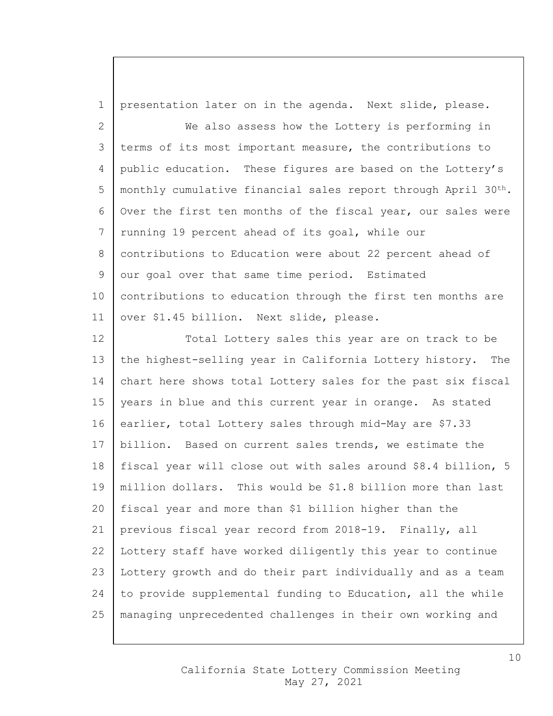1 presentation later on in the agenda. Next slide, please. 2 We also assess how the Lottery is performing in 3 terms of its most important measure, the contributions to 4 public education. These figures are based on the Lottery's 5 | monthly cumulative financial sales report through April  $30<sup>th</sup>$ . 6 Over the first ten months of the fiscal year, our sales were 7 | running 19 percent ahead of its goal, while our 8 | contributions to Education were about 22 percent ahead of 9 our goal over that same time period. Estimated 10 | contributions to education through the first ten months are 11 | over \$1.45 billion. Next slide, please. 12 Total Lottery sales this year are on track to be 13 the highest-selling year in California Lottery history. The 14 chart here shows total Lottery sales for the past six fiscal 15 | years in blue and this current year in orange. As stated 16 earlier, total Lottery sales through mid-May are \$7.33 17 billion. Based on current sales trends, we estimate the 18 fiscal year will close out with sales around \$8.4 billion, 5 19 million dollars. This would be \$1.8 billion more than last 20 fiscal year and more than \$1 billion higher than the 21 previous fiscal year record from 2018-19. Finally, all 22 Lottery staff have worked diligently this year to continue 23 Lottery growth and do their part individually and as a team 24 to provide supplemental funding to Education, all the while 25 managing unprecedented challenges in their own working and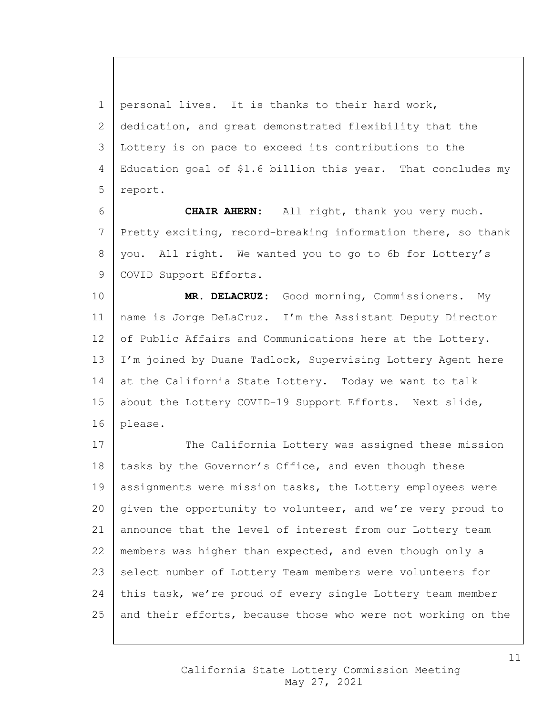1 personal lives. It is thanks to their hard work, 2 dedication, and great demonstrated flexibility that the 3 Lottery is on pace to exceed its contributions to the 4 | Education goal of \$1.6 billion this year. That concludes my 5 report.

6 **CHAIR AHERN:** All right, thank you very much. 7 Pretty exciting, record-breaking information there, so thank 8 | you. All right. We wanted you to go to 6b for Lottery's 9 | COVID Support Efforts.

10 **MR. DELACRUZ:** Good morning, Commissioners. My 11 name is Jorge DeLaCruz. I'm the Assistant Deputy Director 12 of Public Affairs and Communications here at the Lottery. 13 | I'm joined by Duane Tadlock, Supervising Lottery Agent here  $14$  at the California State Lottery. Today we want to talk 15 about the Lottery COVID-19 Support Efforts. Next slide, 16 please.

17 The California Lottery was assigned these mission 18 | tasks by the Governor's Office, and even though these 19 | assignments were mission tasks, the Lottery employees were 20 given the opportunity to volunteer, and we're very proud to 21 announce that the level of interest from our Lottery team 22 members was higher than expected, and even though only a 23 select number of Lottery Team members were volunteers for 24 this task, we're proud of every single Lottery team member 25 and their efforts, because those who were not working on the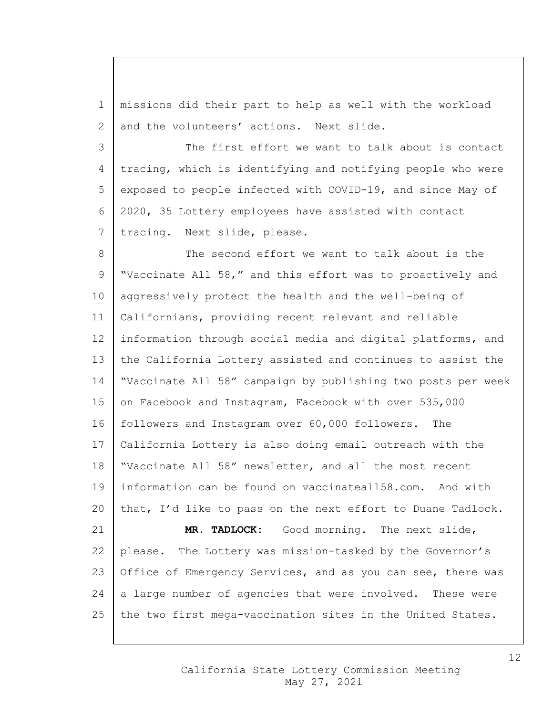1 missions did their part to help as well with the workload 2 and the volunteers' actions. Next slide.

3 The first effort we want to talk about is contact 4 tracing, which is identifying and notifying people who were 5 exposed to people infected with COVID-19, and since May of 6 2020, 35 Lottery employees have assisted with contact 7 | tracing. Next slide, please.

8 The second effort we want to talk about is the 9 "Vaccinate All 58," and this effort was to proactively and 10 aggressively protect the health and the well-being of 11 Californians, providing recent relevant and reliable 12 information through social media and digital platforms, and 13 the California Lottery assisted and continues to assist the 14 "Vaccinate All 58" campaign by publishing two posts per week 15 on Facebook and Instagram, Facebook with over 535,000 16 followers and Instagram over 60,000 followers. The 17 California Lottery is also doing email outreach with the 18 "Vaccinate All 58" newsletter, and all the most recent 19 information can be found on vaccinateall58.com. And with 20 that, I'd like to pass on the next effort to Duane Tadlock. 21 **MR. TADLOCK:** Good morning. The next slide, 22 please. The Lottery was mission-tasked by the Governor's 23 Office of Emergency Services, and as you can see, there was 24 a large number of agencies that were involved. These were 25 the two first mega-vaccination sites in the United States.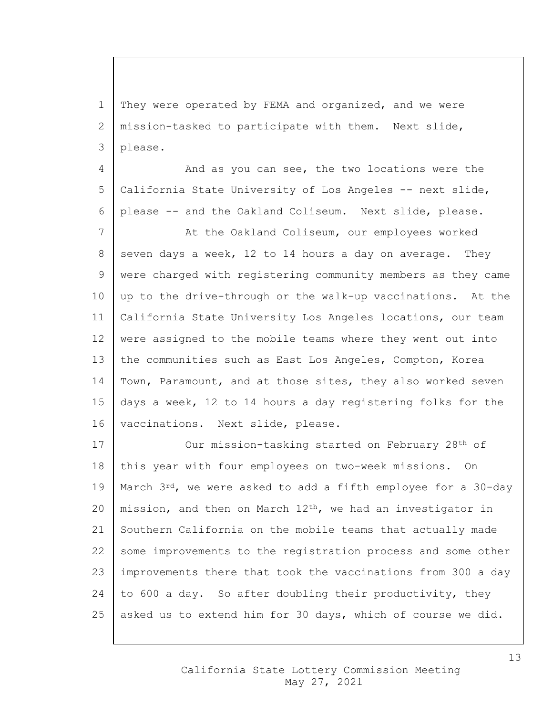1 They were operated by FEMA and organized, and we were 2 | mission-tasked to participate with them. Next slide, 3 please.

4 And as you can see, the two locations were the 5 California State University of Los Angeles -- next slide, 6 please -- and the Oakland Coliseum. Next slide, please.

7 | At the Oakland Coliseum, our employees worked 8 seven days a week, 12 to 14 hours a day on average. They 9 | were charged with registering community members as they came  $10$  up to the drive-through or the walk-up vaccinations. At the 11 California State University Los Angeles locations, our team 12 were assigned to the mobile teams where they went out into 13 the communities such as East Los Angeles, Compton, Korea 14 | Town, Paramount, and at those sites, they also worked seven 15 days a week, 12 to 14 hours a day registering folks for the 16 | vaccinations. Next slide, please.

17 | Our mission-tasking started on February 28<sup>th</sup> of 18 this year with four employees on two-week missions. On 19 | March  $3^{rd}$ , we were asked to add a fifth employee for a 30-day 20 | mission, and then on March  $12<sup>th</sup>$ , we had an investigator in 21 Southern California on the mobile teams that actually made 22 some improvements to the registration process and some other 23 improvements there that took the vaccinations from 300 a day 24  $\vert$  to 600 a day. So after doubling their productivity, they 25 asked us to extend him for 30 days, which of course we did.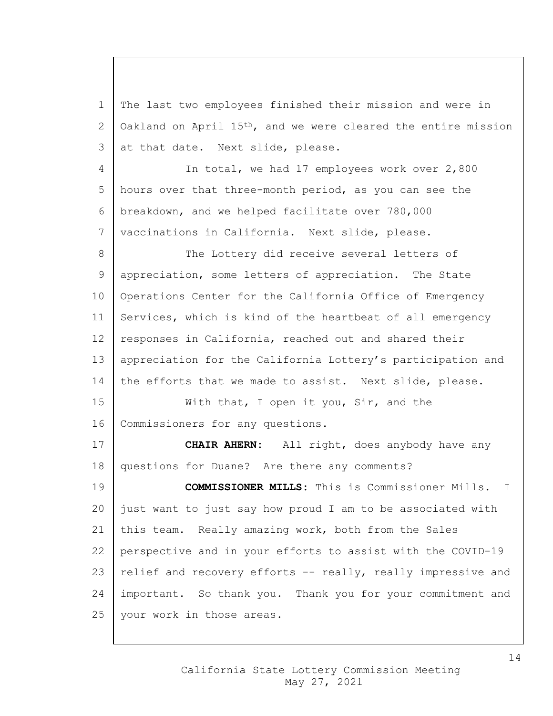1 The last two employees finished their mission and were in 2 | Oakland on April  $15<sup>th</sup>$ , and we were cleared the entire mission  $3$  at that date. Next slide, please.

 In total, we had 17 employees work over 2,800 hours over that three-month period, as you can see the breakdown, and we helped facilitate over 780,000 vaccinations in California. Next slide, please.

8 The Lottery did receive several letters of 9 | appreciation, some letters of appreciation. The State 10 Operations Center for the California Office of Emergency 11 Services, which is kind of the heartbeat of all emergency 12 responses in California, reached out and shared their 13 | appreciation for the California Lottery's participation and 14 the efforts that we made to assist. Next slide, please.

15 | With that, I open it you, Sir, and the 16 | Commissioners for any questions.

17 **CHAIR AHERN:** All right, does anybody have any 18 questions for Duane? Are there any comments?

 **COMMISSIONER MILLS:** This is Commissioner Mills. I just want to just say how proud I am to be associated with this team. Really amazing work, both from the Sales perspective and in your efforts to assist with the COVID-19 23 relief and recovery efforts  $-$  really, really impressive and important. So thank you. Thank you for your commitment and 25 | your work in those areas.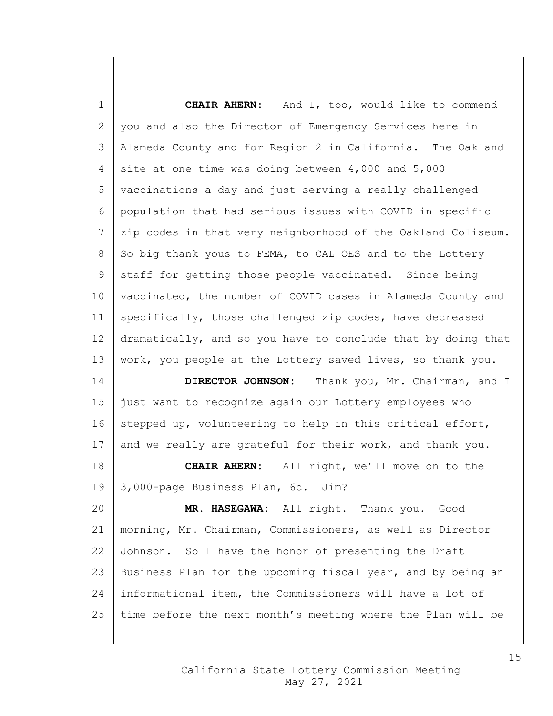| $\mathbf 1$ | <b>CHAIR AHERN:</b> And I, too, would like to commend        |
|-------------|--------------------------------------------------------------|
| 2           | you and also the Director of Emergency Services here in      |
| 3           | Alameda County and for Region 2 in California. The Oakland   |
| 4           | site at one time was doing between 4,000 and 5,000           |
| 5           | vaccinations a day and just serving a really challenged      |
| 6           | population that had serious issues with COVID in specific    |
| 7           | zip codes in that very neighborhood of the Oakland Coliseum. |
| 8           | So big thank yous to FEMA, to CAL OES and to the Lottery     |
| 9           | staff for getting those people vaccinated. Since being       |
| 10          | vaccinated, the number of COVID cases in Alameda County and  |
| 11          | specifically, those challenged zip codes, have decreased     |
| 12          | dramatically, and so you have to conclude that by doing that |
| 13          | work, you people at the Lottery saved lives, so thank you.   |
| 14          | DIRECTOR JOHNSON:<br>Thank you, Mr. Chairman, and I          |
| 15          | just want to recognize again our Lottery employees who       |
| 16          | stepped up, volunteering to help in this critical effort,    |
| 17          | and we really are grateful for their work, and thank you.    |
| 18          | All right, we'll move on to the<br><b>CHAIR AHERN:</b>       |
| 19          | 3,000-page Business Plan, 6c.<br>Jim?                        |
| 20          | MR. HASEGAWA: All right. Thank you.<br>Good                  |
| 21          | morning, Mr. Chairman, Commissioners, as well as Director    |
| 22          | Johnson. So I have the honor of presenting the Draft         |
| 23          | Business Plan for the upcoming fiscal year, and by being an  |
| 24          | informational item, the Commissioners will have a lot of     |
| 25          | time before the next month's meeting where the Plan will be  |

# California State Lottery Commission Meeting May 27, 2021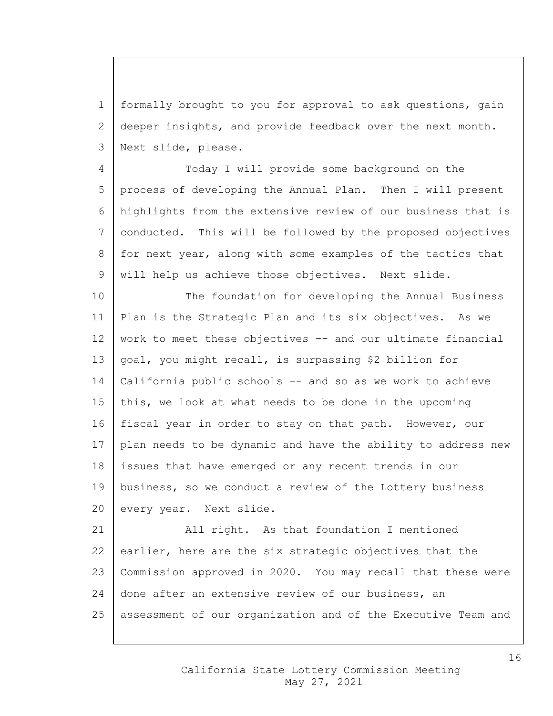1 formally brought to you for approval to ask questions, gain 2 deeper insights, and provide feedback over the next month. 3 Next slide, please.

 Today I will provide some background on the process of developing the Annual Plan. Then I will present highlights from the extensive review of our business that is conducted. This will be followed by the proposed objectives 8 for next year, along with some examples of the tactics that 9 | will help us achieve those objectives. Next slide.

10 The foundation for developing the Annual Business 11 Plan is the Strategic Plan and its six objectives. As we 12 work to meet these objectives -- and our ultimate financial 13  $\vert$  goal, you might recall, is surpassing \$2 billion for 14 California public schools -- and so as we work to achieve 15 this, we look at what needs to be done in the upcoming 16 fiscal year in order to stay on that path. However, our 17 | plan needs to be dynamic and have the ability to address new 18 issues that have emerged or any recent trends in our 19 | business, so we conduct a review of the Lottery business 20 every year. Next slide.

21 | All right. As that foundation I mentioned 22 earlier, here are the six strategic objectives that the 23 Commission approved in 2020. You may recall that these were 24 done after an extensive review of our business, an 25 assessment of our organization and of the Executive Team and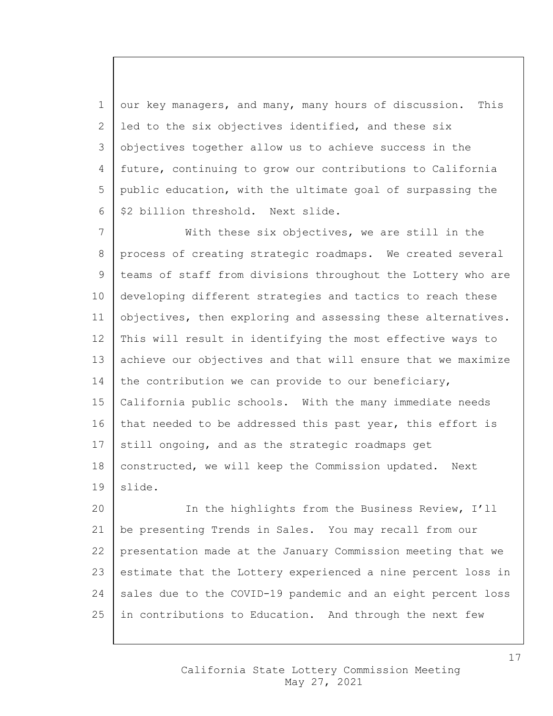1 our key managers, and many, many hours of discussion. This 2 led to the six objectives identified, and these six objectives together allow us to achieve success in the future, continuing to grow our contributions to California public education, with the ultimate goal of surpassing the  $6 \mid $2$  billion threshold. Next slide.

7 | With these six objectives, we are still in the 8 process of creating strategic roadmaps. We created several teams of staff from divisions throughout the Lottery who are developing different strategies and tactics to reach these 11 objectives, then exploring and assessing these alternatives. This will result in identifying the most effective ways to achieve our objectives and that will ensure that we maximize 14 the contribution we can provide to our beneficiary, California public schools. With the many immediate needs 16 that needed to be addressed this past year, this effort is still ongoing, and as the strategic roadmaps get 18 | constructed, we will keep the Commission updated. Next slide.

 In the highlights from the Business Review, I'll be presenting Trends in Sales. You may recall from our presentation made at the January Commission meeting that we estimate that the Lottery experienced a nine percent loss in sales due to the COVID-19 pandemic and an eight percent loss in contributions to Education. And through the next few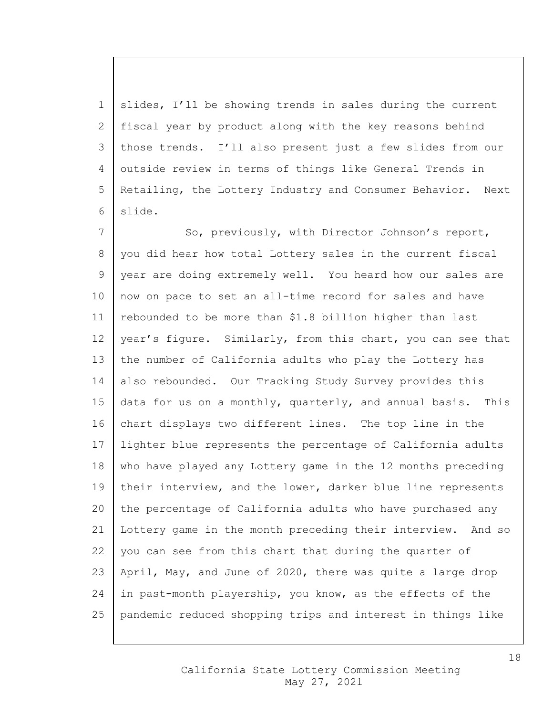slides, I'll be showing trends in sales during the current fiscal year by product along with the key reasons behind those trends. I'll also present just a few slides from our outside review in terms of things like General Trends in 5 Retailing, the Lottery Industry and Consumer Behavior. Next 6 slide.

7 So, previously, with Director Johnson's report, 8 you did hear how total Lottery sales in the current fiscal 9 year are doing extremely well. You heard how our sales are 10 now on pace to set an all-time record for sales and have 11 rebounded to be more than \$1.8 billion higher than last 12 | year's figure. Similarly, from this chart, you can see that 13 the number of California adults who play the Lottery has 14 also rebounded. Our Tracking Study Survey provides this 15  $\vert$  data for us on a monthly, quarterly, and annual basis. This 16 chart displays two different lines. The top line in the 17 lighter blue represents the percentage of California adults 18 who have played any Lottery game in the 12 months preceding 19 | their interview, and the lower, darker blue line represents 20 the percentage of California adults who have purchased any 21 Lottery game in the month preceding their interview. And so  $22$  you can see from this chart that during the quarter of 23 | April, May, and June of 2020, there was quite a large drop 24 in past-month playership, you know, as the effects of the 25 pandemic reduced shopping trips and interest in things like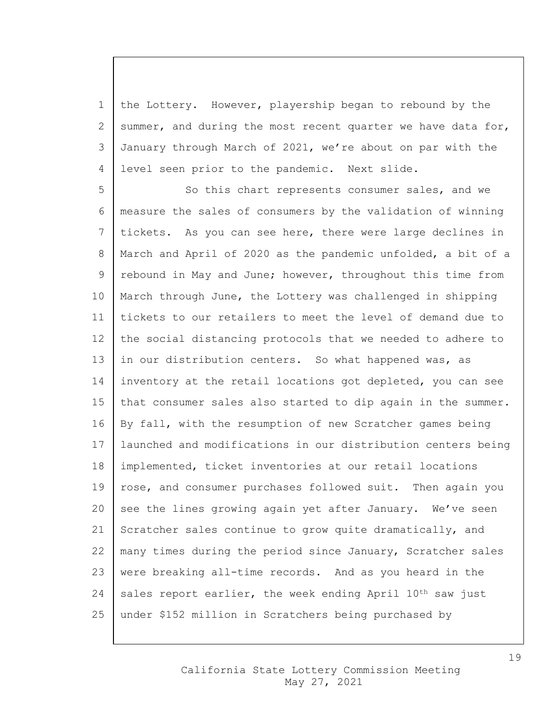the Lottery. However, playership began to rebound by the 2 summer, and during the most recent quarter we have data for, January through March of 2021, we're about on par with the level seen prior to the pandemic. Next slide.

5 So this chart represents consumer sales, and we 6 measure the sales of consumers by the validation of winning 7 tickets. As you can see here, there were large declines in 8 | March and April of 2020 as the pandemic unfolded, a bit of a 9 rebound in May and June; however, throughout this time from 10 | March through June, the Lottery was challenged in shipping 11 tickets to our retailers to meet the level of demand due to 12 the social distancing protocols that we needed to adhere to 13 in our distribution centers. So what happened was, as 14 inventory at the retail locations got depleted, you can see 15 | that consumer sales also started to dip again in the summer. 16 By fall, with the resumption of new Scratcher games being 17 launched and modifications in our distribution centers being 18 implemented, ticket inventories at our retail locations 19 | rose, and consumer purchases followed suit. Then again you 20 see the lines growing again yet after January. We've seen 21 Scratcher sales continue to grow quite dramatically, and 22 | many times during the period since January, Scratcher sales 23 were breaking all-time records. And as you heard in the 24 sales report earlier, the week ending April  $10^{th}$  saw just 25 under \$152 million in Scratchers being purchased by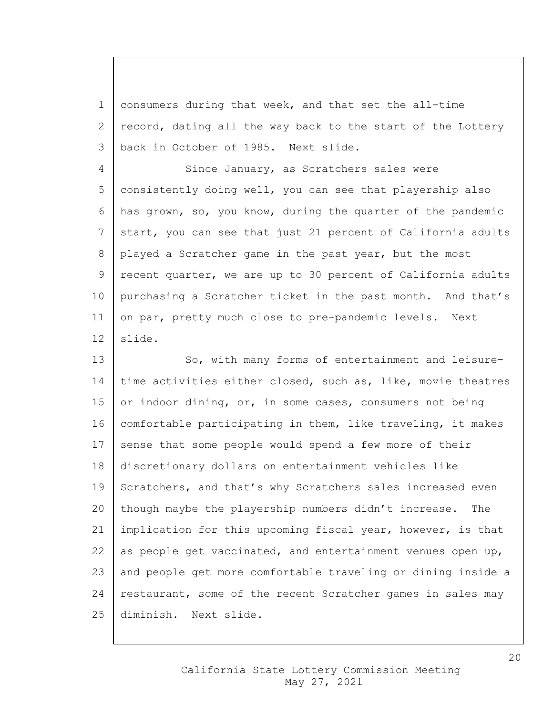1 consumers during that week, and that set the all-time 2 record, dating all the way back to the start of the Lottery 3 back in October of 1985. Next slide.

4 Since January, as Scratchers sales were 5 | consistently doing well, you can see that playership also 6 has grown, so, you know, during the quarter of the pandemic 7 start, you can see that just 21 percent of California adults 8 played a Scratcher game in the past year, but the most 9 recent quarter, we are up to 30 percent of California adults 10 | purchasing a Scratcher ticket in the past month. And that's 11 on par, pretty much close to pre-pandemic levels. Next 12 slide.

13 So, with many forms of entertainment and leisure-14 time activities either closed, such as, like, movie theatres 15 or indoor dining, or, in some cases, consumers not being 16 comfortable participating in them, like traveling, it makes 17 sense that some people would spend a few more of their 18 discretionary dollars on entertainment vehicles like 19 Scratchers, and that's why Scratchers sales increased even 20 though maybe the playership numbers didn't increase. The 21 implication for this upcoming fiscal year, however, is that 22 as people get vaccinated, and entertainment venues open up, 23 and people get more comfortable traveling or dining inside a 24 restaurant, some of the recent Scratcher games in sales may 25 diminish. Next slide.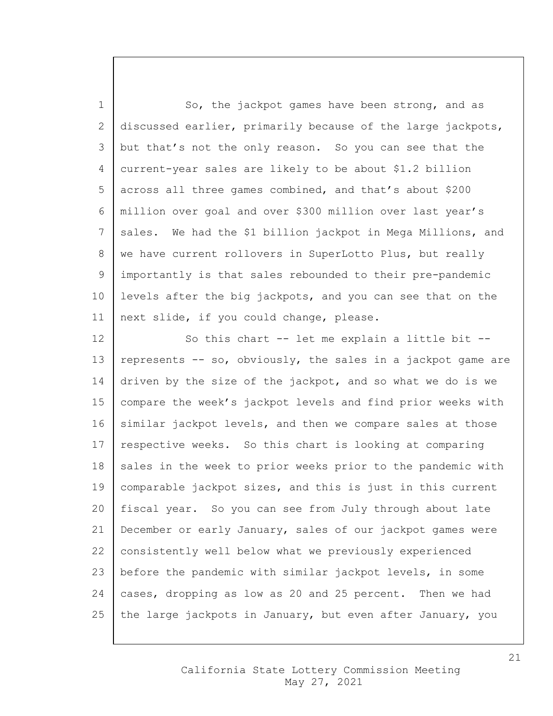1 So, the jackpot games have been strong, and as 2 discussed earlier, primarily because of the large jackpots, 3 but that's not the only reason. So you can see that the 4 current-year sales are likely to be about \$1.2 billion 5 across all three games combined, and that's about \$200 6 million over goal and over \$300 million over last year's 7 | sales. We had the \$1 billion jackpot in Mega Millions, and 8 | we have current rollovers in SuperLotto Plus, but really 9 importantly is that sales rebounded to their pre-pandemic 10 | levels after the big jackpots, and you can see that on the 11 | next slide, if you could change, please.

12 | So this chart -- let me explain a little bit --13 | represents  $-$  so, obviously, the sales in a jackpot game are 14 driven by the size of the jackpot, and so what we do is we 15 | compare the week's jackpot levels and find prior weeks with  $16$  similar jackpot levels, and then we compare sales at those 17 | respective weeks. So this chart is looking at comparing 18 sales in the week to prior weeks prior to the pandemic with 19 comparable jackpot sizes, and this is just in this current 20 fiscal year. So you can see from July through about late 21 December or early January, sales of our jackpot games were 22 | consistently well below what we previously experienced 23 before the pandemic with similar jackpot levels, in some 24 cases, dropping as low as 20 and 25 percent. Then we had 25 the large jackpots in January, but even after January, you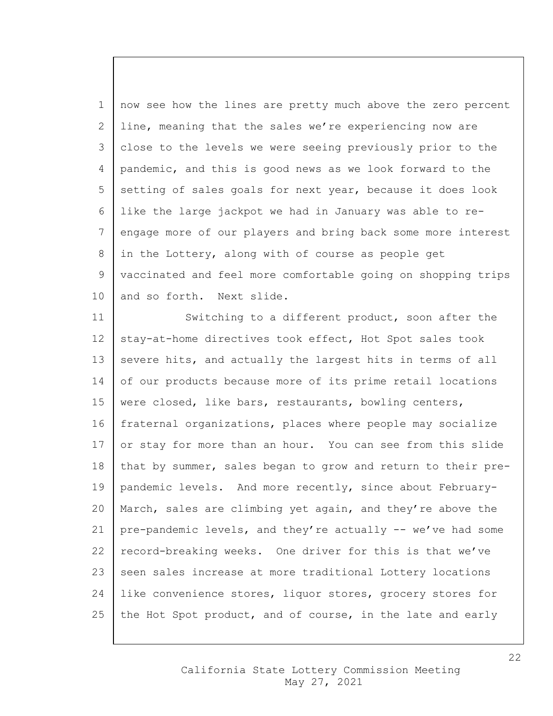1 | now see how the lines are pretty much above the zero percent line, meaning that the sales we're experiencing now are close to the levels we were seeing previously prior to the pandemic, and this is good news as we look forward to the 5 setting of sales goals for next year, because it does look like the large jackpot we had in January was able to re- engage more of our players and bring back some more interest in the Lottery, along with of course as people get vaccinated and feel more comfortable going on shopping trips 10 and so forth. Next slide.

11 Switching to a different product, soon after the 12 stay-at-home directives took effect, Hot Spot sales took 13 severe hits, and actually the largest hits in terms of all 14 of our products because more of its prime retail locations 15 | were closed, like bars, restaurants, bowling centers, 16 fraternal organizations, places where people may socialize 17 or stay for more than an hour. You can see from this slide 18 that by summer, sales began to grow and return to their pre-19 pandemic levels. And more recently, since about February-20 March, sales are climbing yet again, and they're above the 21 pre-pandemic levels, and they're actually -- we've had some 22 record-breaking weeks. One driver for this is that we've 23 seen sales increase at more traditional Lottery locations 24 like convenience stores, liquor stores, grocery stores for 25 the Hot Spot product, and of course, in the late and early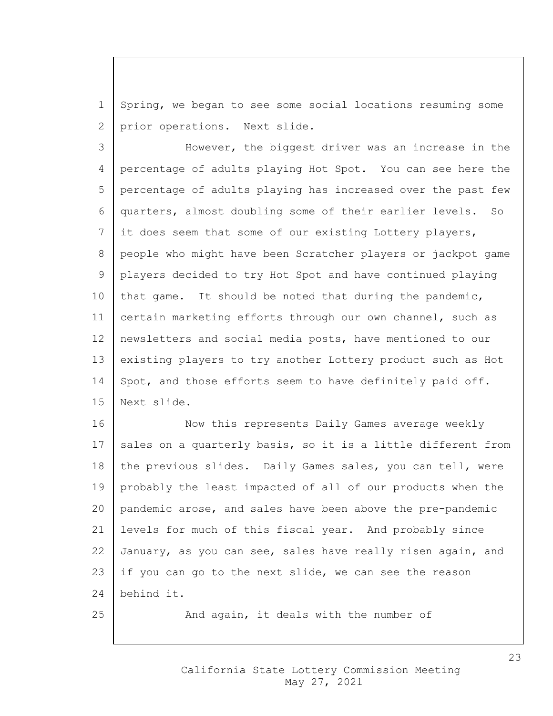1 Spring, we began to see some social locations resuming some 2 prior operations. Next slide.

 However, the biggest driver was an increase in the percentage of adults playing Hot Spot. You can see here the percentage of adults playing has increased over the past few quarters, almost doubling some of their earlier levels. So it does seem that some of our existing Lottery players, 8 people who might have been Scratcher players or jackpot game players decided to try Hot Spot and have continued playing 10 | that game. It should be noted that during the pandemic, 11 | certain marketing efforts through our own channel, such as newsletters and social media posts, have mentioned to our existing players to try another Lottery product such as Hot 14 | Spot, and those efforts seem to have definitely paid off. Next slide.

16 Now this represents Daily Games average weekly 17 | sales on a quarterly basis, so it is a little different from 18 the previous slides. Daily Games sales, you can tell, were 19 probably the least impacted of all of our products when the 20 pandemic arose, and sales have been above the pre-pandemic 21 levels for much of this fiscal year. And probably since 22 January, as you can see, sales have really risen again, and 23 if you can go to the next slide, we can see the reason 24 behind it.

25 And again, it deals with the number of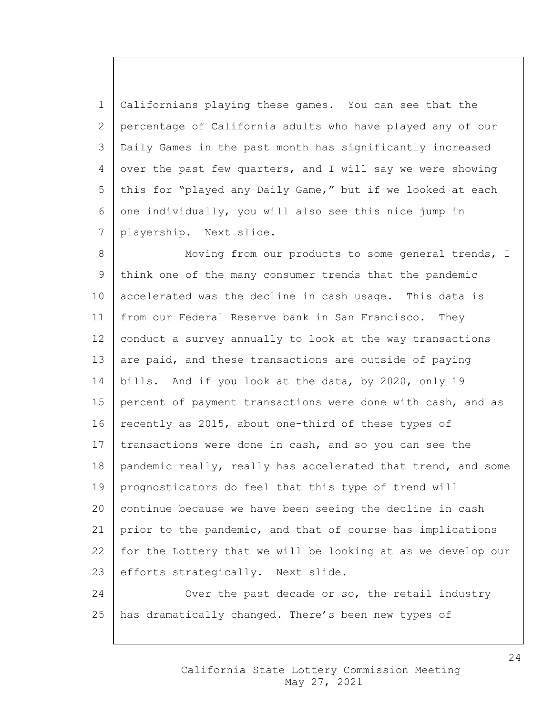1 Californians playing these games. You can see that the 2 percentage of California adults who have played any of our 3 Daily Games in the past month has significantly increased 4 over the past few quarters, and I will say we were showing 5 this for "played any Daily Game," but if we looked at each 6 one individually, you will also see this nice jump in 7 playership. Next slide.

8 Moving from our products to some general trends, I 9 think one of the many consumer trends that the pandemic 10 accelerated was the decline in cash usage. This data is 11 from our Federal Reserve bank in San Francisco. They 12 conduct a survey annually to look at the way transactions 13 are paid, and these transactions are outside of paying 14 bills. And if you look at the data, by 2020, only 19 15 percent of payment transactions were done with cash, and as 16 | recently as 2015, about one-third of these types of 17 transactions were done in cash, and so you can see the 18 | pandemic really, really has accelerated that trend, and some 19 prognosticators do feel that this type of trend will 20 continue because we have been seeing the decline in cash 21 prior to the pandemic, and that of course has implications 22 | for the Lottery that we will be looking at as we develop our 23 efforts strategically. Next slide. 24 Over the past decade or so, the retail industry

25 has dramatically changed. There's been new types of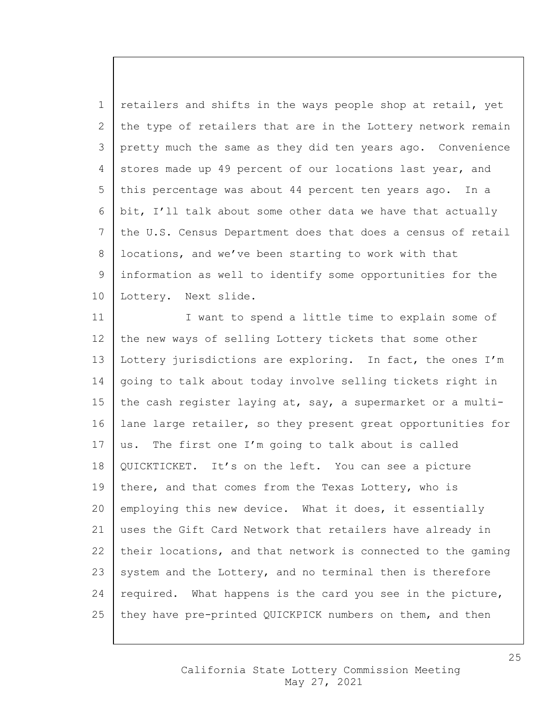1 retailers and shifts in the ways people shop at retail, yet 2 the type of retailers that are in the Lottery network remain 3 pretty much the same as they did ten years ago. Convenience 4 stores made up 49 percent of our locations last year, and 5 this percentage was about 44 percent ten years ago. In a 6 bit, I'll talk about some other data we have that actually 7 the U.S. Census Department does that does a census of retail 8 | locations, and we've been starting to work with that 9 information as well to identify some opportunities for the 10 | Lottery. Next slide.

11 | I want to spend a little time to explain some of 12 the new ways of selling Lottery tickets that some other 13 Lottery jurisdictions are exploring. In fact, the ones I'm 14 going to talk about today involve selling tickets right in 15 the cash register laying at, say, a supermarket or a multi-16 lane large retailer, so they present great opportunities for 17 | us. The first one I'm going to talk about is called 18 QUICKTICKET. It's on the left. You can see a picture 19 there, and that comes from the Texas Lottery, who is 20 employing this new device. What it does, it essentially 21 uses the Gift Card Network that retailers have already in 22 their locations, and that network is connected to the gaming 23 system and the Lottery, and no terminal then is therefore 24 | required. What happens is the card you see in the picture, 25 | they have pre-printed QUICKPICK numbers on them, and then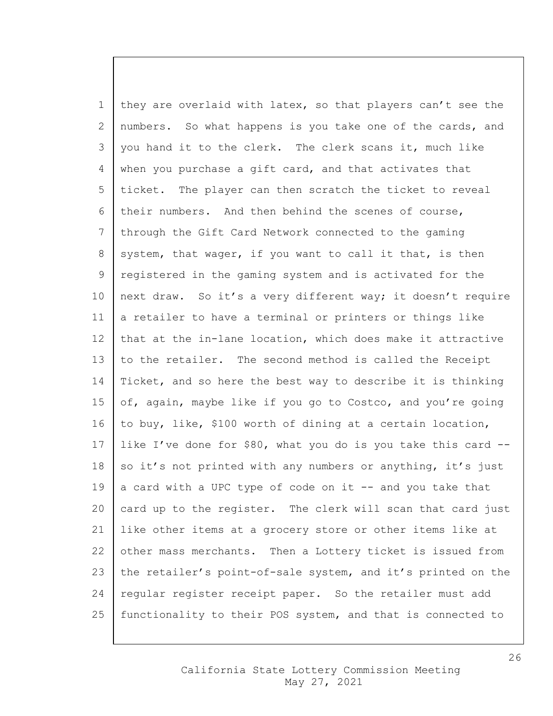1 they are overlaid with latex, so that players can't see the 2 | numbers. So what happens is you take one of the cards, and 3 you hand it to the clerk. The clerk scans it, much like 4 when you purchase a gift card, and that activates that 5 ticket. The player can then scratch the ticket to reveal 6 their numbers. And then behind the scenes of course, 7 through the Gift Card Network connected to the gaming 8 system, that wager, if you want to call it that, is then 9 registered in the gaming system and is activated for the 10 | next draw. So it's a very different way; it doesn't require 11  $\vert$  a retailer to have a terminal or printers or things like 12 | that at the in-lane location, which does make it attractive 13 to the retailer. The second method is called the Receipt 14 Ticket, and so here the best way to describe it is thinking 15 of, again, maybe like if you go to Costco, and you're going 16 to buy, like, \$100 worth of dining at a certain location, 17 | like I've done for \$80, what you do is you take this card  $-$ 18 so it's not printed with any numbers or anything, it's just 19 a card with a UPC type of code on it  $-$  and you take that 20  $\vert$  card up to the register. The clerk will scan that card just 21 like other items at a grocery store or other items like at 22 other mass merchants. Then a Lottery ticket is issued from 23 the retailer's point-of-sale system, and it's printed on the 24 | regular register receipt paper. So the retailer must add 25 functionality to their POS system, and that is connected to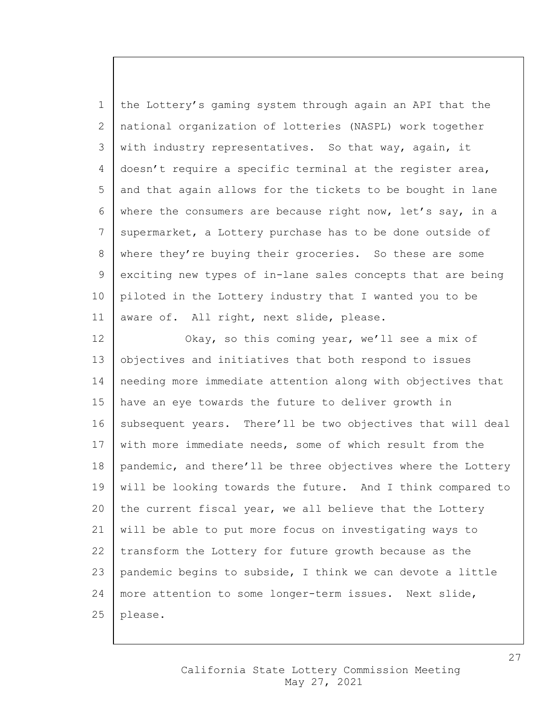the Lottery's gaming system through again an API that the national organization of lotteries (NASPL) work together 3 with industry representatives. So that way, again, it doesn't require a specific terminal at the register area, and that again allows for the tickets to be bought in lane where the consumers are because right now, let's say, in a 7 supermarket, a Lottery purchase has to be done outside of 8 where they're buying their groceries. So these are some exciting new types of in-lane sales concepts that are being piloted in the Lottery industry that I wanted you to be 11 | aware of. All right, next slide, please.

12 | Okay, so this coming year, we'll see a mix of 13 objectives and initiatives that both respond to issues 14 needing more immediate attention along with objectives that 15 have an eye towards the future to deliver growth in 16 subsequent years. There'll be two objectives that will deal 17 with more immediate needs, some of which result from the 18 | pandemic, and there'll be three objectives where the Lottery 19 | will be looking towards the future. And I think compared to 20 the current fiscal year, we all believe that the Lottery 21 will be able to put more focus on investigating ways to  $22$  transform the Lottery for future growth because as the 23 | pandemic begins to subside, I think we can devote a little 24 | more attention to some longer-term issues. Next slide,  $25$  | please.

27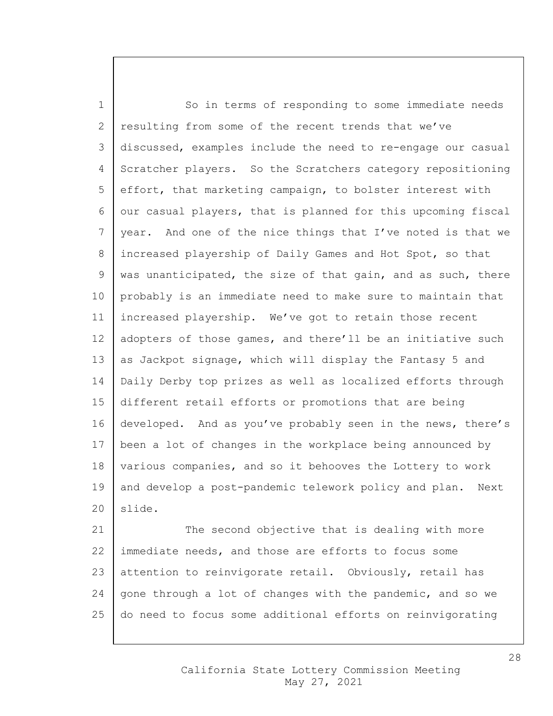1 So in terms of responding to some immediate needs 2 resulting from some of the recent trends that we've 3 discussed, examples include the need to re-engage our casual 4 Scratcher players. So the Scratchers category repositioning 5 effort, that marketing campaign, to bolster interest with 6 our casual players, that is planned for this upcoming fiscal 7 | year. And one of the nice things that I've noted is that we 8 increased playership of Daily Games and Hot Spot, so that 9 | was unanticipated, the size of that gain, and as such, there 10 probably is an immediate need to make sure to maintain that 11 increased playership. We've got to retain those recent 12 adopters of those games, and there'll be an initiative such 13 as Jackpot signage, which will display the Fantasy 5 and 14 Daily Derby top prizes as well as localized efforts through 15 different retail efforts or promotions that are being 16 developed. And as you've probably seen in the news, there's 17 been a lot of changes in the workplace being announced by 18 various companies, and so it behooves the Lottery to work 19 and develop a post-pandemic telework policy and plan. Next 20 | slide.

21 The second objective that is dealing with more 22 immediate needs, and those are efforts to focus some 23 attention to reinvigorate retail. Obviously, retail has 24 gone through a lot of changes with the pandemic, and so we 25 do need to focus some additional efforts on reinvigorating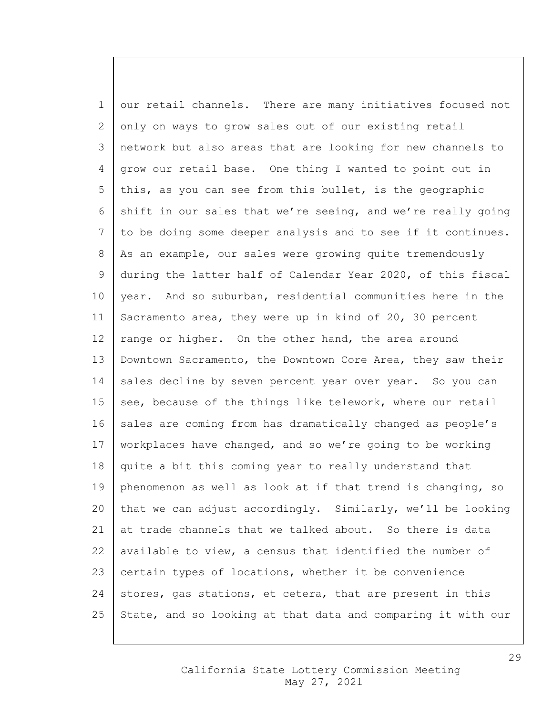1 | our retail channels. There are many initiatives focused not 2 only on ways to grow sales out of our existing retail 3 network but also areas that are looking for new channels to 4 grow our retail base. One thing I wanted to point out in 5 this, as you can see from this bullet, is the geographic 6 shift in our sales that we're seeing, and we're really going 7 to be doing some deeper analysis and to see if it continues. 8 | As an example, our sales were growing quite tremendously 9 | during the latter half of Calendar Year 2020, of this fiscal 10 year. And so suburban, residential communities here in the 11 Sacramento area, they were up in kind of 20, 30 percent 12 | range or higher. On the other hand, the area around 13 Downtown Sacramento, the Downtown Core Area, they saw their 14 sales decline by seven percent year over year. So you can 15 see, because of the things like telework, where our retail 16 sales are coming from has dramatically changed as people's 17 | workplaces have changed, and so we're going to be working 18 quite a bit this coming year to really understand that 19 | phenomenon as well as look at if that trend is changing, so 20 that we can adjust accordingly. Similarly, we'll be looking 21 at trade channels that we talked about. So there is data 22 | available to view, a census that identified the number of 23 certain types of locations, whether it be convenience 24 stores, gas stations, et cetera, that are present in this 25 State, and so looking at that data and comparing it with our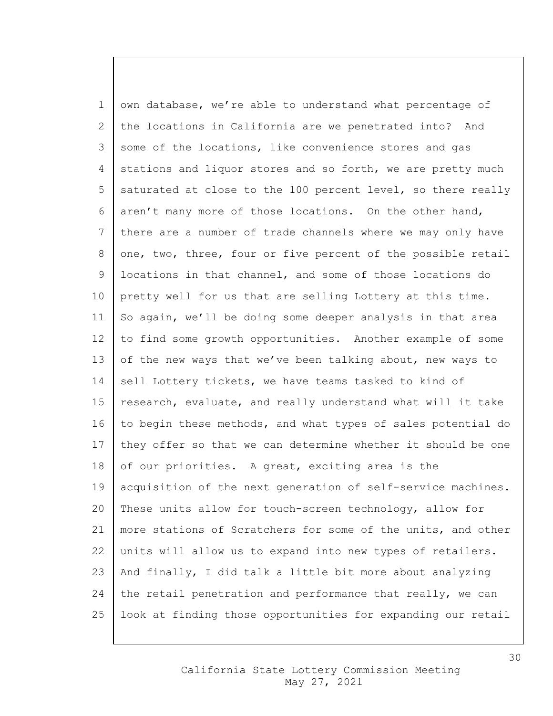1 own database, we're able to understand what percentage of 2 the locations in California are we penetrated into? And 3 some of the locations, like convenience stores and gas 4 stations and liquor stores and so forth, we are pretty much 5 saturated at close to the 100 percent level, so there really 6 aren't many more of those locations. On the other hand, 7 there are a number of trade channels where we may only have 8 one, two, three, four or five percent of the possible retail 9 locations in that channel, and some of those locations do 10 pretty well for us that are selling Lottery at this time. 11 | So again, we'll be doing some deeper analysis in that area 12 to find some growth opportunities. Another example of some 13 of the new ways that we've been talking about, new ways to 14 sell Lottery tickets, we have teams tasked to kind of 15 | research, evaluate, and really understand what will it take 16 to begin these methods, and what types of sales potential do  $17$  they offer so that we can determine whether it should be one 18 of our priorities. A great, exciting area is the 19 | acquisition of the next generation of self-service machines. 20 These units allow for touch-screen technology, allow for 21 more stations of Scratchers for some of the units, and other 22 units will allow us to expand into new types of retailers. 23 And finally, I did talk a little bit more about analyzing 24 the retail penetration and performance that really, we can 25 look at finding those opportunities for expanding our retail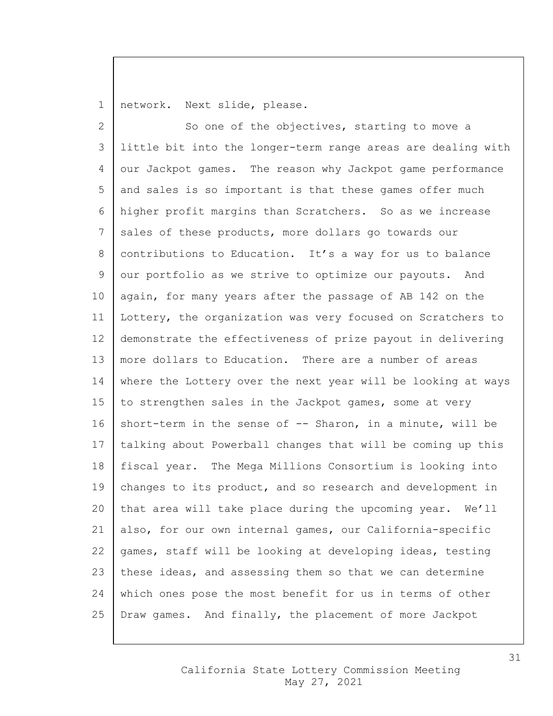1 | network. Next slide, please.

2 So one of the objectives, starting to move a 3 little bit into the longer-term range areas are dealing with 4 our Jackpot games. The reason why Jackpot game performance  $5$  and sales is so important is that these games offer much 6 higher profit margins than Scratchers. So as we increase 7 sales of these products, more dollars go towards our 8 | contributions to Education. It's a way for us to balance 9 our portfolio as we strive to optimize our payouts. And 10 | again, for many years after the passage of AB 142 on the 11 Lottery, the organization was very focused on Scratchers to 12 demonstrate the effectiveness of prize payout in delivering 13 more dollars to Education. There are a number of areas 14 where the Lottery over the next year will be looking at ways 15 to strengthen sales in the Jackpot games, some at very 16 short-term in the sense of  $-$ - Sharon, in a minute, will be 17 | talking about Powerball changes that will be coming up this 18 fiscal year. The Mega Millions Consortium is looking into 19 | changes to its product, and so research and development in 20 | that area will take place during the upcoming year.  $We'll$ 21 also, for our own internal games, our California-specific 22  $\vert$  games, staff will be looking at developing ideas, testing 23 these ideas, and assessing them so that we can determine 24 which ones pose the most benefit for us in terms of other 25 Draw games. And finally, the placement of more Jackpot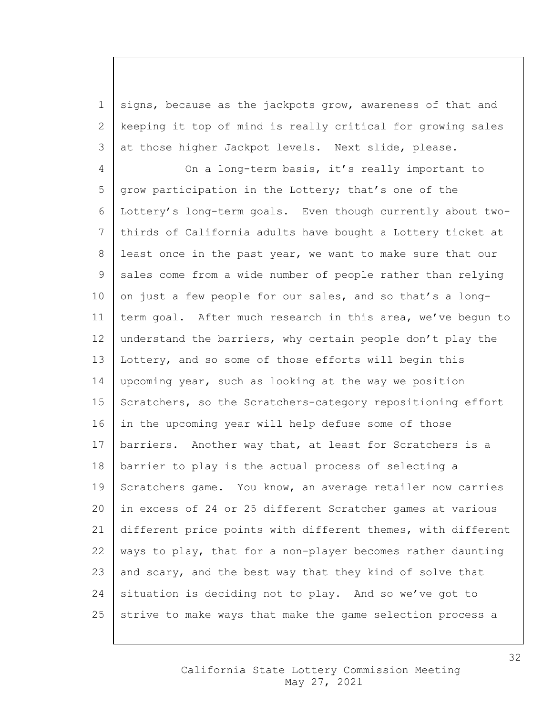1 signs, because as the jackpots grow, awareness of that and 2 keeping it top of mind is really critical for growing sales 3 at those higher Jackpot levels. Next slide, please.

4 On a long-term basis, it's really important to 5 grow participation in the Lottery; that's one of the 6 Lottery's long-term goals. Even though currently about two-7 thirds of California adults have bought a Lottery ticket at 8 least once in the past year, we want to make sure that our 9 sales come from a wide number of people rather than relying 10 on just a few people for our sales, and so that's a long-11 | term goal. After much research in this area, we've bequn to 12 understand the barriers, why certain people don't play the 13 Lottery, and so some of those efforts will begin this 14 upcoming year, such as looking at the way we position 15 Scratchers, so the Scratchers-category repositioning effort 16 in the upcoming year will help defuse some of those 17 | barriers. Another way that, at least for Scratchers is a 18 barrier to play is the actual process of selecting a 19 Scratchers game. You know, an average retailer now carries 20 in excess of 24 or 25 different Scratcher games at various 21 different price points with different themes, with different 22 | ways to play, that for a non-player becomes rather daunting 23 and scary, and the best way that they kind of solve that 24 situation is deciding not to play. And so we've got to 25 strive to make ways that make the game selection process a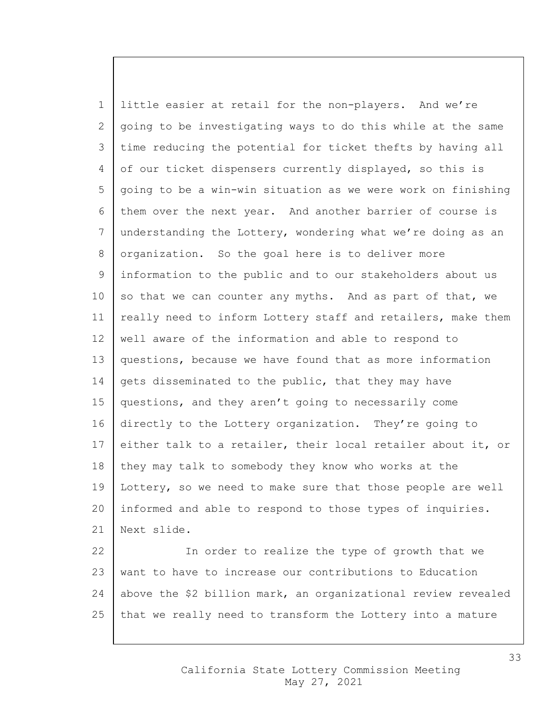1 little easier at retail for the non-players. And we're 2 going to be investigating ways to do this while at the same 3 time reducing the potential for ticket thefts by having all 4 of our ticket dispensers currently displayed, so this is 5 going to be a win-win situation as we were work on finishing 6 them over the next year. And another barrier of course is 7 understanding the Lottery, wondering what we're doing as an 8 | organization. So the goal here is to deliver more 9 information to the public and to our stakeholders about us  $10$  so that we can counter any myths. And as part of that, we 11  $\vert$  really need to inform Lottery staff and retailers, make them 12 well aware of the information and able to respond to 13 questions, because we have found that as more information 14 gets disseminated to the public, that they may have 15 questions, and they aren't going to necessarily come 16 directly to the Lottery organization. They're going to 17 either talk to a retailer, their local retailer about it, or 18 they may talk to somebody they know who works at the 19 | Lottery, so we need to make sure that those people are well 20 informed and able to respond to those types of inquiries. 21 Next slide. 22 | The order to realize the type of growth that we

23 want to have to increase our contributions to Education 24 above the \$2 billion mark, an organizational review revealed  $25$  that we really need to transform the Lottery into a mature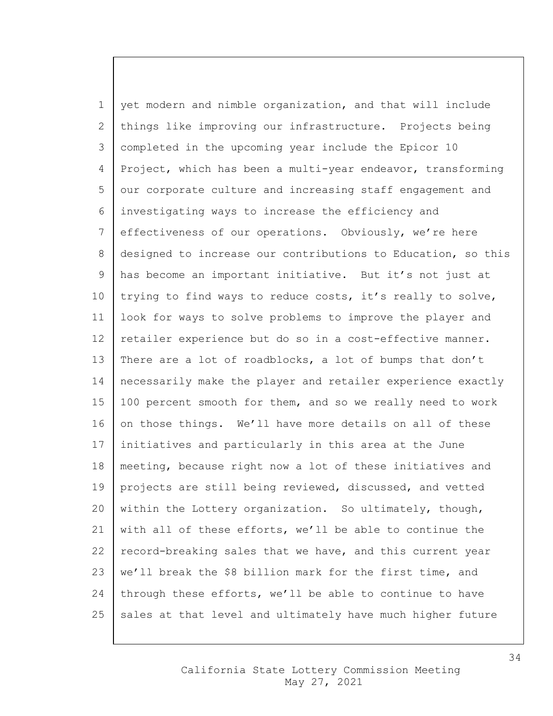1 yet modern and nimble organization, and that will include 2 things like improving our infrastructure. Projects being 3 completed in the upcoming year include the Epicor 10 4 Project, which has been a multi-year endeavor, transforming 5 our corporate culture and increasing staff engagement and 6 investigating ways to increase the efficiency and 7 effectiveness of our operations. Obviously, we're here 8 designed to increase our contributions to Education, so this 9 has become an important initiative. But it's not just at 10 | trying to find ways to reduce costs, it's really to solve, 11 look for ways to solve problems to improve the player and 12 | retailer experience but do so in a cost-effective manner. 13 | There are a lot of roadblocks, a lot of bumps that don't 14 necessarily make the player and retailer experience exactly 15 | 100 percent smooth for them, and so we really need to work 16 on those things. We'll have more details on all of these 17 initiatives and particularly in this area at the June 18 | meeting, because right now a lot of these initiatives and 19 projects are still being reviewed, discussed, and vetted 20 within the Lottery organization. So ultimately, though, 21 with all of these efforts, we'll be able to continue the 22 | record-breaking sales that we have, and this current year 23 | we'll break the \$8 billion mark for the first time, and 24 | through these efforts, we'll be able to continue to have 25 sales at that level and ultimately have much higher future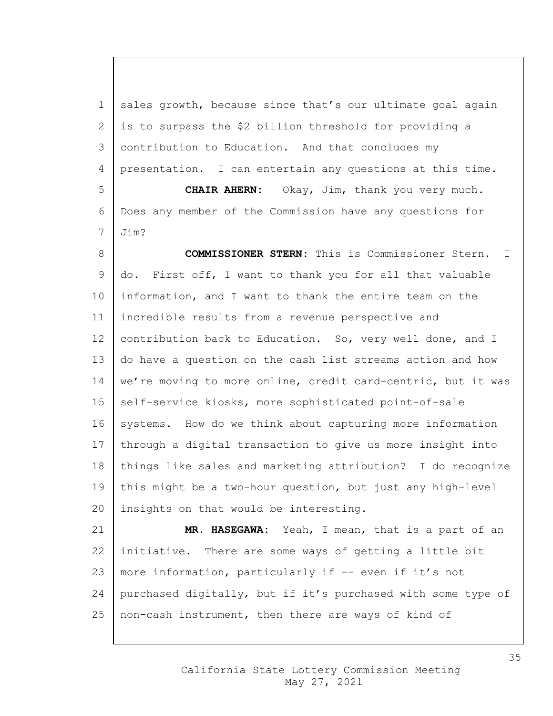1 sales growth, because since that's our ultimate goal again is to surpass the \$2 billion threshold for providing a contribution to Education. And that concludes my presentation. I can entertain any questions at this time. **CHAIR AHERN:** Okay, Jim, thank you very much. Does any member of the Commission have any questions for Jim?

 **COMMISSIONER STERN:** This is Commissioner Stern. I do. First off, I want to thank you for all that valuable information, and I want to thank the entire team on the incredible results from a revenue perspective and 12 | contribution back to Education. So, very well done, and I do have a question on the cash list streams action and how 14 | we're moving to more online, credit card-centric, but it was 15 | self-service kiosks, more sophisticated point-of-sale 16 systems. How do we think about capturing more information 17 | through a digital transaction to give us more insight into things like sales and marketing attribution? I do recognize 19 | this might be a two-hour question, but just any high-level 20 | insights on that would be interesting.

 **MR. HASEGAWA:** Yeah, I mean, that is a part of an initiative. There are some ways of getting a little bit 23 | more information, particularly if  $-$  even if it's not purchased digitally, but if it's purchased with some type of non-cash instrument, then there are ways of kind of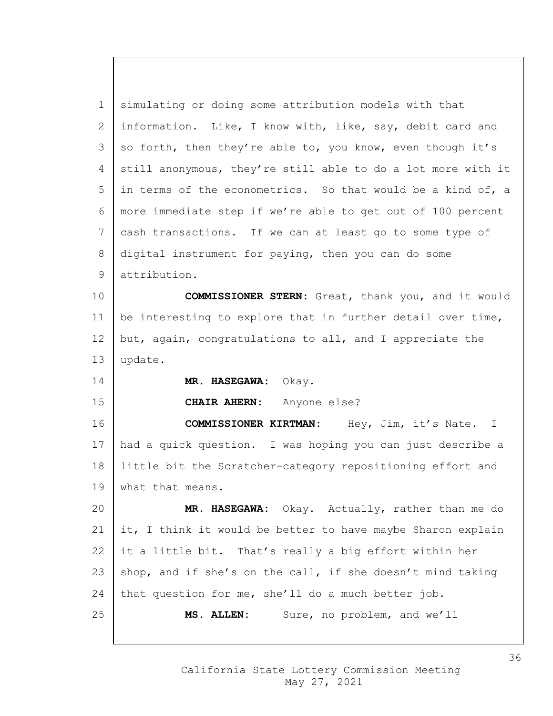simulating or doing some attribution models with that information. Like, I know with, like, say, debit card and 3 so forth, then they're able to, you know, even though it's 4 | still anonymous, they're still able to do a lot more with it in terms of the econometrics. So that would be a kind of, a more immediate step if we're able to get out of 100 percent cash transactions. If we can at least go to some type of 8 digital instrument for paying, then you can do some attribution. **COMMISSIONER STERN:** Great, thank you, and it would 11 | be interesting to explore that in further detail over time, 12 but, again, congratulations to all, and I appreciate the update. **MR. HASEGAWA:** Okay. **CHAIR AHERN:** Anyone else? **COMMISSIONER KIRTMAN:** Hey, Jim, it's Nate. I had a quick question. I was hoping you can just describe a little bit the Scratcher-category repositioning effort and 19 | what that means.

 **MR. HASEGAWA:** Okay. Actually, rather than me do  $\vert$  it, I think it would be better to have maybe Sharon explain 22 it a little bit. That's really a big effort within her 23 shop, and if she's on the call, if she doesn't mind taking that question for me, she'll do a much better job. **MS. ALLEN:** Sure, no problem, and we'll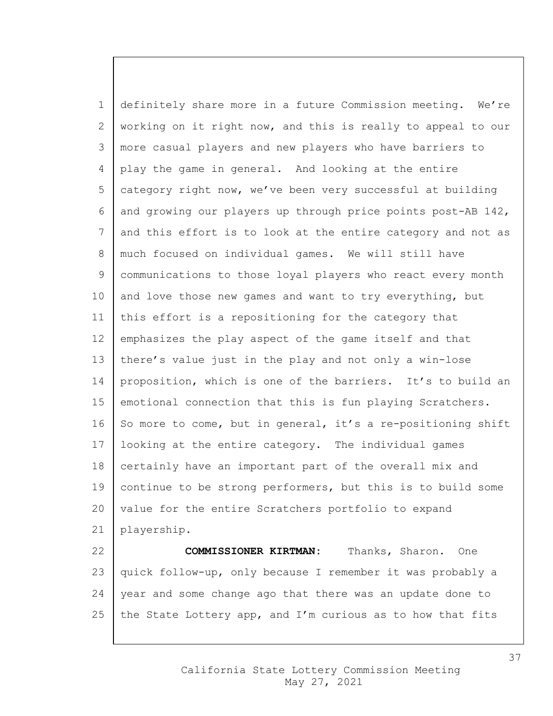1 definitely share more in a future Commission meeting. We're 2 working on it right now, and this is really to appeal to our 3 more casual players and new players who have barriers to 4 play the game in general. And looking at the entire 5 category right now, we've been very successful at building 6 and growing our players up through price points post-AB  $142$ , 7 and this effort is to look at the entire category and not as 8 | much focused on individual games. We will still have 9 communications to those loyal players who react every month 10 and love those new games and want to try everything, but 11 this effort is a repositioning for the category that 12 emphasizes the play aspect of the game itself and that 13 there's value just in the play and not only a win-lose 14 proposition, which is one of the barriers. It's to build an 15 emotional connection that this is fun playing Scratchers. 16 So more to come, but in general, it's a re-positioning shift 17 looking at the entire category. The individual games 18 certainly have an important part of the overall mix and 19 | continue to be strong performers, but this is to build some 20 value for the entire Scratchers portfolio to expand 21 playership. 22 **COMMISSIONER KIRTMAN:** Thanks, Sharon. One 23 | quick follow-up, only because I remember it was probably a 24 | year and some change ago that there was an update done to

25 | the State Lottery app, and I'm curious as to how that fits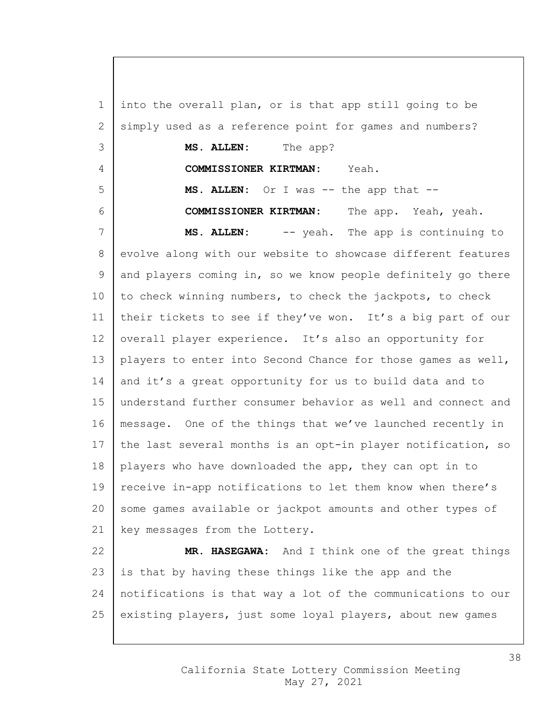1 into the overall plan, or is that app still going to be 2 simply used as a reference point for games and numbers? 3 **MS. ALLEN:** The app? 4 **COMMISSIONER KIRTMAN:** Yeah. 5 **MS. ALLEN:** Or I was -- the app that -- 6 **COMMISSIONER KIRTMAN:** The app. Yeah, yeah. 7 **MS. ALLEN:** -- yeah. The app is continuing to 8 evolve along with our website to showcase different features 9 and players coming in, so we know people definitely go there  $10$  to check winning numbers, to check the jackpots, to check 11 | their tickets to see if they've won. It's a big part of our 12 overall player experience. It's also an opportunity for 13 | players to enter into Second Chance for those games as well, 14 and it's a great opportunity for us to build data and to 15 understand further consumer behavior as well and connect and 16 | message. One of the things that we've launched recently in 17 | the last several months is an opt-in player notification, so 18 players who have downloaded the app, they can opt in to 19 | receive in-app notifications to let them know when there's 20 some games available or jackpot amounts and other types of 21 | key messages from the Lottery. 22 **MR. HASEGAWA:** And I think one of the great things 23 is that by having these things like the app and the 24 notifications is that way a lot of the communications to our 25 existing players, just some loyal players, about new games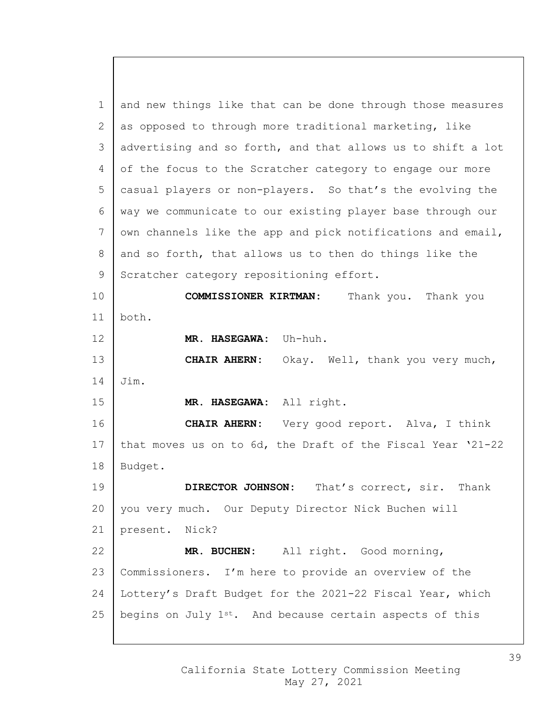and new things like that can be done through those measures 2 as opposed to through more traditional marketing, like 3 advertising and so forth, and that allows us to shift a lot 4 of the focus to the Scratcher category to engage our more casual players or non-players. So that's the evolving the way we communicate to our existing player base through our 7 own channels like the app and pick notifications and email, and so forth, that allows us to then do things like the 9 Scratcher category repositioning effort. **COMMISSIONER KIRTMAN:** Thank you. Thank you both. **MR. HASEGAWA:** Uh-huh. **CHAIR AHERN:** Okay. Well, thank you very much, Jim. **MR. HASEGAWA:** All right. **CHAIR AHERN:** Very good report. Alva, I think 17 that moves us on to  $6d$ , the Draft of the Fiscal Year  $21-22$  Budget. **DIRECTOR JOHNSON:** That's correct, sir. Thank 20 you very much. Our Deputy Director Nick Buchen will present. Nick? **MR. BUCHEN:** All right. Good morning, Commissioners. I'm here to provide an overview of the Lottery's Draft Budget for the 2021-22 Fiscal Year, which 25 | begins on July  $1^{st}$ . And because certain aspects of this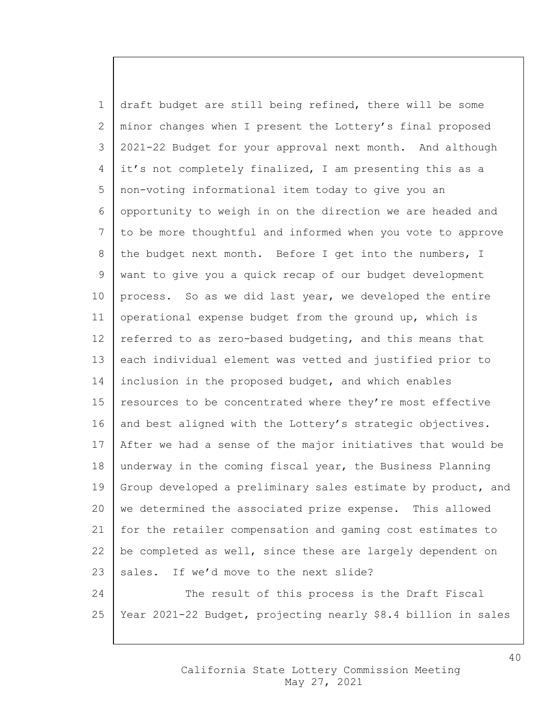1 draft budget are still being refined, there will be some 2 minor changes when I present the Lottery's final proposed 3 2021-22 Budget for your approval next month. And although 4 it's not completely finalized, I am presenting this as a 5 non-voting informational item today to give you an 6 opportunity to weigh in on the direction we are headed and 7 to be more thoughtful and informed when you vote to approve 8 the budget next month. Before I get into the numbers, I 9 want to give you a quick recap of our budget development 10 | process. So as we did last year, we developed the entire 11 operational expense budget from the ground up, which is 12 referred to as zero-based budgeting, and this means that 13 each individual element was vetted and justified prior to 14 inclusion in the proposed budget, and which enables 15 | resources to be concentrated where they're most effective 16 and best aligned with the Lottery's strategic objectives. 17 After we had a sense of the major initiatives that would be 18 underway in the coming fiscal year, the Business Planning 19 Group developed a preliminary sales estimate by product, and 20 we determined the associated prize expense. This allowed 21 for the retailer compensation and gaming cost estimates to 22 | be completed as well, since these are largely dependent on 23 sales. If we'd move to the next slide? 24 The result of this process is the Draft Fiscal

25 Year 2021-22 Budget, projecting nearly \$8.4 billion in sales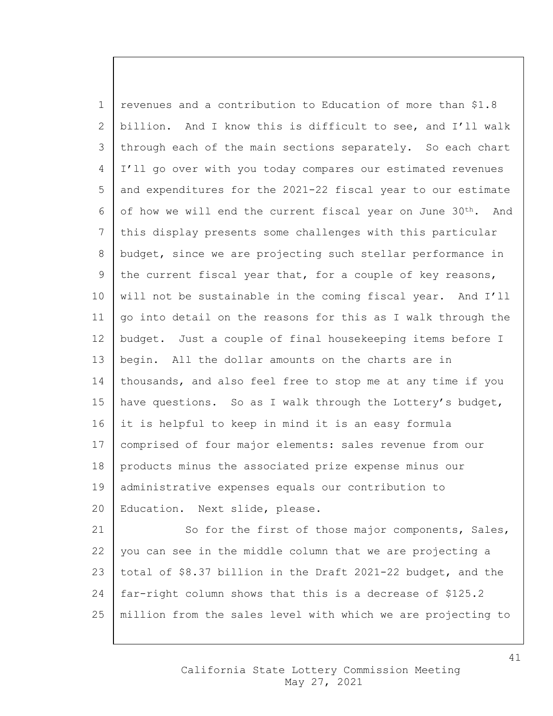1 revenues and a contribution to Education of more than \$1.8 billion. And I know this is difficult to see, and I'll walk 3 through each of the main sections separately. So each chart I'll go over with you today compares our estimated revenues and expenditures for the 2021-22 fiscal year to our estimate 6 of how we will end the current fiscal year on June  $30^{th}$ . And this display presents some challenges with this particular 8 budget, since we are projecting such stellar performance in 9 the current fiscal year that, for a couple of key reasons, will not be sustainable in the coming fiscal year. And I'll  $\vert$  go into detail on the reasons for this as I walk through the budget. Just a couple of final housekeeping items before I begin. All the dollar amounts on the charts are in 14 thousands, and also feel free to stop me at any time if you 15 | have questions. So as I walk through the Lottery's budget, it is helpful to keep in mind it is an easy formula comprised of four major elements: sales revenue from our products minus the associated prize expense minus our administrative expenses equals our contribution to 20 | Education. Next slide, please. 21 So for the first of those major components, Sales,  $\vert$  you can see in the middle column that we are projecting a total of \$8.37 billion in the Draft 2021-22 budget, and the

million from the sales level with which we are projecting to

far-right column shows that this is a decrease of \$125.2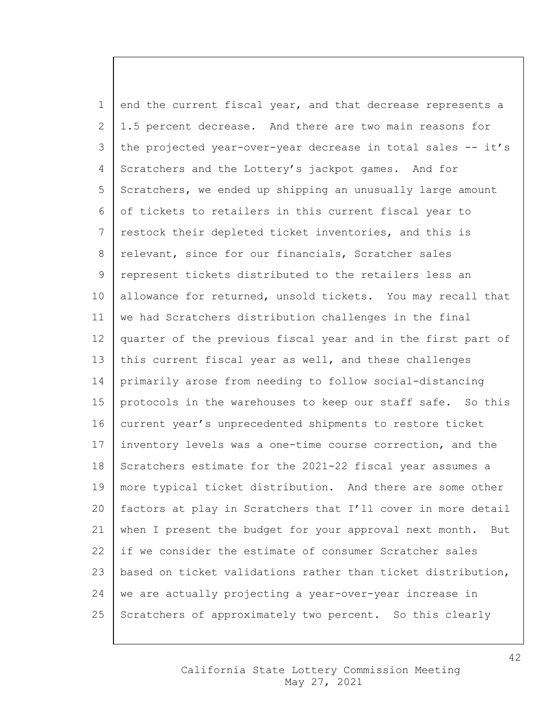1 end the current fiscal year, and that decrease represents a 2 | 1.5 percent decrease. And there are two main reasons for 3 the projected year-over-year decrease in total sales -- it's 4 Scratchers and the Lottery's jackpot games. And for 5 Scratchers, we ended up shipping an unusually large amount 6 of tickets to retailers in this current fiscal year to 7 | restock their depleted ticket inventories, and this is 8 relevant, since for our financials, Scratcher sales 9 represent tickets distributed to the retailers less an 10 allowance for returned, unsold tickets. You may recall that 11 we had Scratchers distribution challenges in the final 12 quarter of the previous fiscal year and in the first part of 13 | this current fiscal year as well, and these challenges 14 primarily arose from needing to follow social-distancing 15 | protocols in the warehouses to keep our staff safe. So this 16 current year's unprecedented shipments to restore ticket 17 inventory levels was a one-time course correction, and the 18 Scratchers estimate for the 2021-22 fiscal year assumes a 19 | more typical ticket distribution. And there are some other 20 factors at play in Scratchers that I'll cover in more detail 21 when I present the budget for your approval next month. But 22 if we consider the estimate of consumer Scratcher sales 23  $\vert$  based on ticket validations rather than ticket distribution, 24 we are actually projecting a year-over-year increase in 25 Scratchers of approximately two percent. So this clearly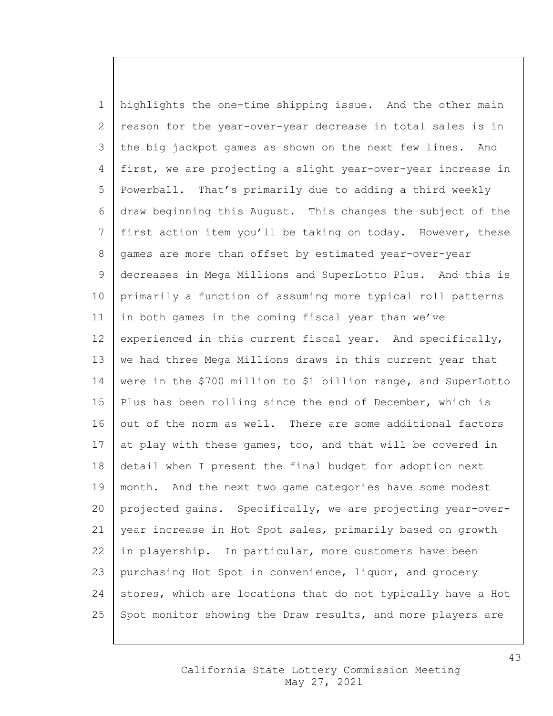1 highlights the one-time shipping issue. And the other main 2 reason for the year-over-year decrease in total sales is in 3 the big jackpot games as shown on the next few lines. And 4 first, we are projecting a slight year-over-year increase in 5 Powerball. That's primarily due to adding a third weekly 6 draw beginning this August. This changes the subject of the 7 first action item you'll be taking on today. However, these 8 | games are more than offset by estimated year-over-year 9 decreases in Mega Millions and SuperLotto Plus. And this is 10 primarily a function of assuming more typical roll patterns 11 | in both games in the coming fiscal year than we've  $12$  experienced in this current fiscal year. And specifically, 13 we had three Mega Millions draws in this current year that 14 were in the \$700 million to \$1 billion range, and SuperLotto 15 | Plus has been rolling since the end of December, which is 16 out of the norm as well. There are some additional factors 17 at play with these games, too, and that will be covered in 18 detail when I present the final budget for adoption next 19 | month. And the next two game categories have some modest 20 projected gains. Specifically, we are projecting year-over-21 year increase in Hot Spot sales, primarily based on growth 22 in playership. In particular, more customers have been 23 purchasing Hot Spot in convenience, liquor, and grocery  $24$  stores, which are locations that do not typically have a Hot 25 Spot monitor showing the Draw results, and more players are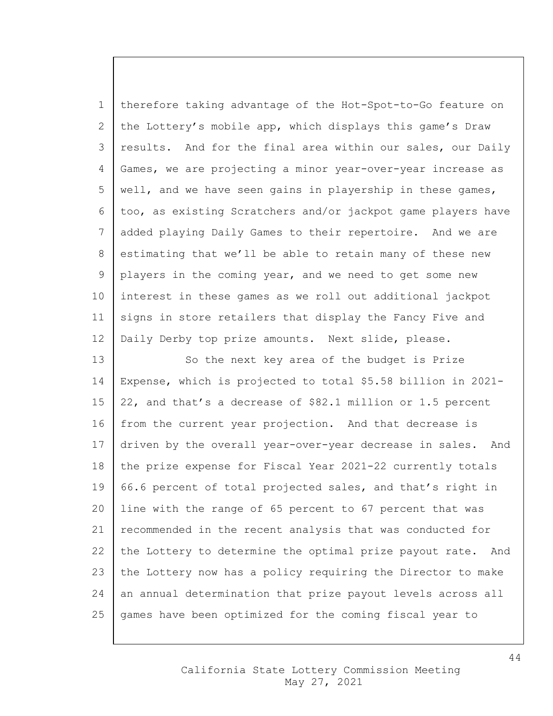1 therefore taking advantage of the Hot-Spot-to-Go feature on 2 the Lottery's mobile app, which displays this game's Draw 3 results. And for the final area within our sales, our Daily 4 Games, we are projecting a minor year-over-year increase as 5 | well, and we have seen gains in playership in these games, 6 too, as existing Scratchers and/or jackpot game players have 7 added playing Daily Games to their repertoire. And we are 8 estimating that we'll be able to retain many of these new 9 players in the coming year, and we need to get some new 10 interest in these games as we roll out additional jackpot 11 signs in store retailers that display the Fancy Five and 12 | Daily Derby top prize amounts. Next slide, please.

13 So the next key area of the budget is Prize 14 Expense, which is projected to total \$5.58 billion in 2021- 15  $\vert$  22, and that's a decrease of \$82.1 million or 1.5 percent 16 from the current year projection. And that decrease is 17 driven by the overall year-over-year decrease in sales. And 18 the prize expense for Fiscal Year 2021-22 currently totals 19  $\vert$  66.6 percent of total projected sales, and that's right in 20 line with the range of 65 percent to 67 percent that was 21 recommended in the recent analysis that was conducted for 22 the Lottery to determine the optimal prize payout rate. And 23 the Lottery now has a policy requiring the Director to make 24 an annual determination that prize payout levels across all 25 games have been optimized for the coming fiscal year to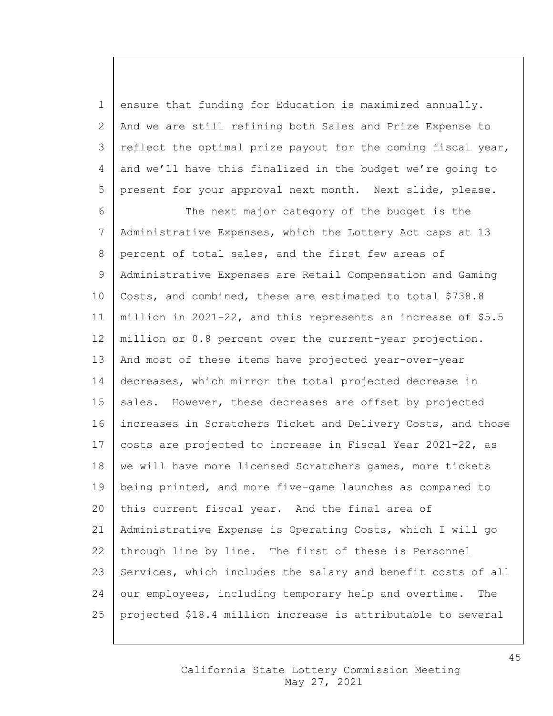1 ensure that funding for Education is maximized annually. 2 And we are still refining both Sales and Prize Expense to 3 reflect the optimal prize payout for the coming fiscal year, 4 and we'll have this finalized in the budget we're going to 5 present for your approval next month. Next slide, please.

6 The next major category of the budget is the 7 Administrative Expenses, which the Lottery Act caps at 13 8 percent of total sales, and the first few areas of 9 Administrative Expenses are Retail Compensation and Gaming 10 Costs, and combined, these are estimated to total \$738.8 11 million in 2021-22, and this represents an increase of \$5.5 12 million or 0.8 percent over the current-year projection. 13 And most of these items have projected year-over-year 14 decreases, which mirror the total projected decrease in 15  $\vert$  sales. However, these decreases are offset by projected 16 increases in Scratchers Ticket and Delivery Costs, and those 17 | costs are projected to increase in Fiscal Year 2021-22, as 18 | we will have more licensed Scratchers games, more tickets 19 | being printed, and more five-game launches as compared to 20 this current fiscal year. And the final area of 21 Administrative Expense is Operating Costs, which I will go 22 through line by line. The first of these is Personnel 23 Services, which includes the salary and benefit costs of all 24 our employees, including temporary help and overtime. The 25 projected \$18.4 million increase is attributable to several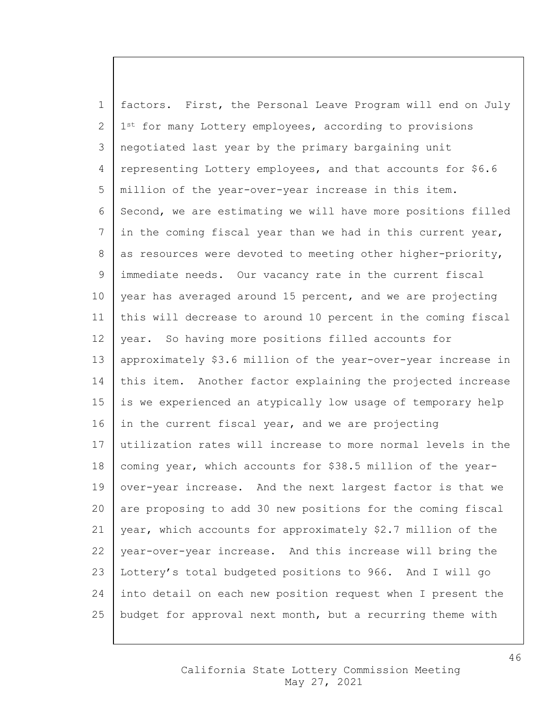1 factors. First, the Personal Leave Program will end on July 2 | 1<sup>st</sup> for many Lottery employees, according to provisions 3 negotiated last year by the primary bargaining unit 4 representing Lottery employees, and that accounts for \$6.6 5 million of the year-over-year increase in this item. 6 Second, we are estimating we will have more positions filled 7 in the coming fiscal year than we had in this current year, 8 as resources were devoted to meeting other higher-priority, 9 immediate needs. Our vacancy rate in the current fiscal 10 year has averaged around 15 percent, and we are projecting 11 this will decrease to around 10 percent in the coming fiscal 12 year. So having more positions filled accounts for 13 approximately \$3.6 million of the year-over-year increase in 14 this item. Another factor explaining the projected increase 15 is we experienced an atypically low usage of temporary help 16 in the current fiscal year, and we are projecting 17 utilization rates will increase to more normal levels in the 18 | coming year, which accounts for \$38.5 million of the year-19 over-year increase. And the next largest factor is that we 20 are proposing to add 30 new positions for the coming fiscal 21 year, which accounts for approximately \$2.7 million of the 22 | year-over-year increase. And this increase will bring the 23 Lottery's total budgeted positions to 966. And I will go 24 into detail on each new position request when I present the 25 budget for approval next month, but a recurring theme with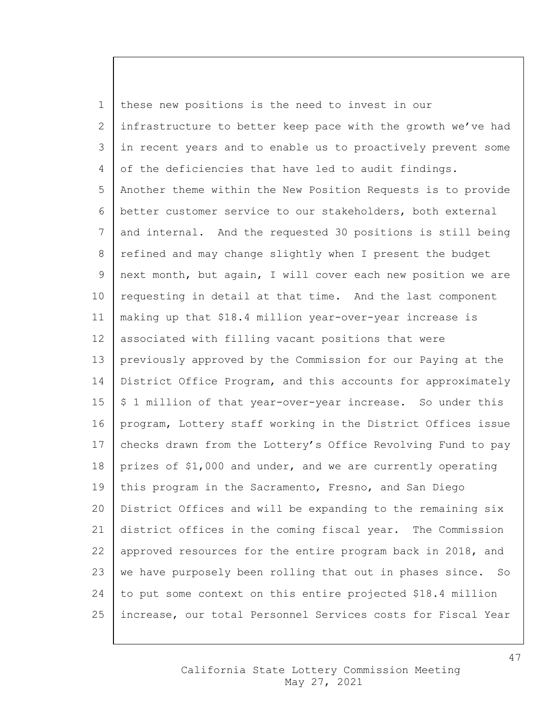1 these new positions is the need to invest in our 2 infrastructure to better keep pace with the growth we've had 3 in recent years and to enable us to proactively prevent some 4 of the deficiencies that have led to audit findings. 5 Another theme within the New Position Requests is to provide 6 better customer service to our stakeholders, both external 7 and internal. And the requested 30 positions is still being 8 refined and may change slightly when I present the budget 9 next month, but again, I will cover each new position we are 10 requesting in detail at that time. And the last component 11 making up that \$18.4 million year-over-year increase is 12 | associated with filling vacant positions that were 13 previously approved by the Commission for our Paying at the 14 District Office Program, and this accounts for approximately  $15 \mid \xi$  1 million of that year-over-year increase. So under this 16 program, Lottery staff working in the District Offices issue 17  $\vert$  checks drawn from the Lottery's Office Revolving Fund to pay 18 prizes of \$1,000 and under, and we are currently operating 19 | this program in the Sacramento, Fresno, and San Diego 20 District Offices and will be expanding to the remaining six 21 district offices in the coming fiscal year. The Commission 22 | approved resources for the entire program back in 2018, and 23 | we have purposely been rolling that out in phases since. So 24 to put some context on this entire projected \$18.4 million 25 increase, our total Personnel Services costs for Fiscal Year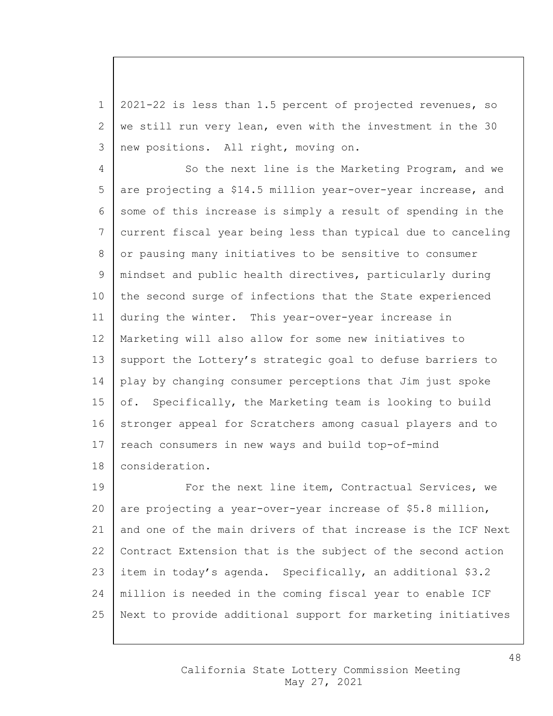1 2021-22 is less than 1.5 percent of projected revenues, so 2 | we still run very lean, even with the investment in the 30 3 new positions. All right, moving on.

4 | So the next line is the Marketing Program, and we 5 are projecting a \$14.5 million year-over-year increase, and 6 some of this increase is simply a result of spending in the 7 current fiscal year being less than typical due to canceling 8 or pausing many initiatives to be sensitive to consumer 9 mindset and public health directives, particularly during 10 the second surge of infections that the State experienced 11 during the winter. This year-over-year increase in 12 Marketing will also allow for some new initiatives to 13 | support the Lottery's strategic goal to defuse barriers to 14 play by changing consumer perceptions that Jim just spoke 15 of. Specifically, the Marketing team is looking to build 16 stronger appeal for Scratchers among casual players and to 17 | reach consumers in new ways and build top-of-mind 18 consideration.

19 | For the next line item, Contractual Services, we 20 are projecting a year-over-year increase of \$5.8 million, 21 and one of the main drivers of that increase is the ICF Next 22 | Contract Extension that is the subject of the second action 23 item in today's agenda. Specifically, an additional \$3.2 24 million is needed in the coming fiscal year to enable ICF 25 Next to provide additional support for marketing initiatives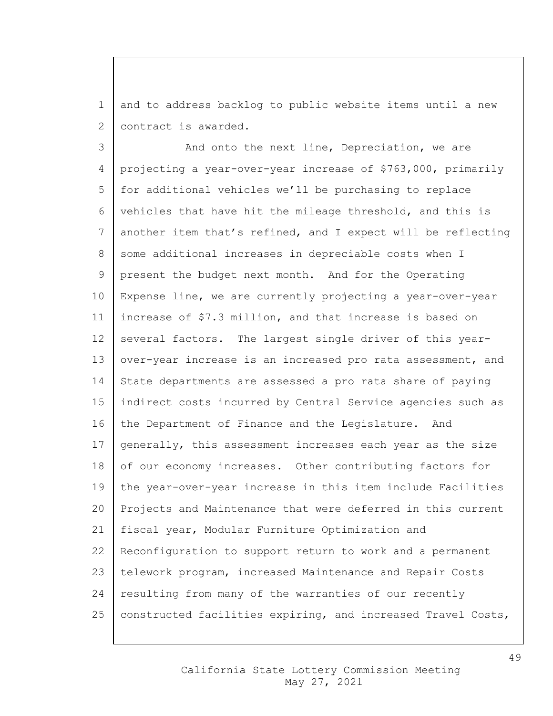1 and to address backlog to public website items until a new 2 | contract is awarded.

3 And onto the next line, Depreciation, we are 4 projecting a year-over-year increase of \$763,000, primarily 5 for additional vehicles we'll be purchasing to replace 6 vehicles that have hit the mileage threshold, and this is 7 another item that's refined, and I expect will be reflecting 8 some additional increases in depreciable costs when I 9 present the budget next month. And for the Operating 10 Expense line, we are currently projecting a year-over-year 11 increase of \$7.3 million, and that increase is based on 12 several factors. The largest single driver of this year-13 | over-year increase is an increased pro rata assessment, and 14 State departments are assessed a pro rata share of paying 15 indirect costs incurred by Central Service agencies such as 16 the Department of Finance and the Legislature. And 17 generally, this assessment increases each year as the size 18 of our economy increases. Other contributing factors for 19 the year-over-year increase in this item include Facilities 20 Projects and Maintenance that were deferred in this current 21 fiscal year, Modular Furniture Optimization and 22 Reconfiguration to support return to work and a permanent 23 telework program, increased Maintenance and Repair Costs 24 | resulting from many of the warranties of our recently 25 | constructed facilities expiring, and increased Travel Costs,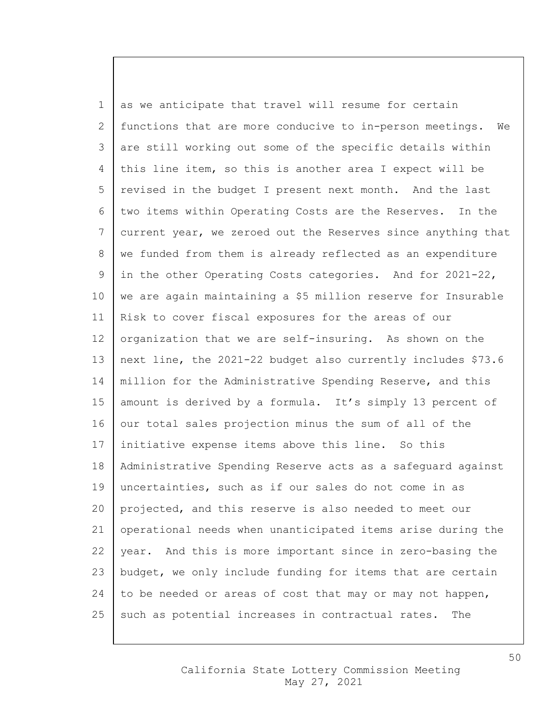1 as we anticipate that travel will resume for certain 2 functions that are more conducive to in-person meetings. We 3 are still working out some of the specific details within 4 this line item, so this is another area I expect will be 5 revised in the budget I present next month. And the last 6 two items within Operating Costs are the Reserves. In the 7 current year, we zeroed out the Reserves since anything that 8 | we funded from them is already reflected as an expenditure 9 in the other Operating Costs categories. And for 2021-22, 10 we are again maintaining a \$5 million reserve for Insurable 11 Risk to cover fiscal exposures for the areas of our 12 organization that we are self-insuring. As shown on the 13 next line, the 2021-22 budget also currently includes \$73.6 14 | million for the Administrative Spending Reserve, and this 15 | amount is derived by a formula. It's simply 13 percent of  $16$  our total sales projection minus the sum of all of the 17 | initiative expense items above this line. So this 18 Administrative Spending Reserve acts as a safeguard against 19 uncertainties, such as if our sales do not come in as 20 projected, and this reserve is also needed to meet our 21 operational needs when unanticipated items arise during the 22 year. And this is more important since in zero-basing the 23 budget, we only include funding for items that are certain 24 to be needed or areas of cost that may or may not happen, 25 such as potential increases in contractual rates. The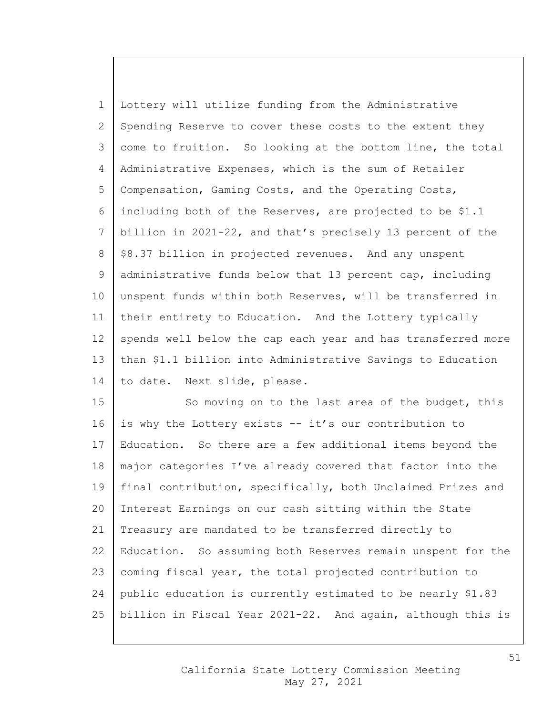1 Lottery will utilize funding from the Administrative 2 Spending Reserve to cover these costs to the extent they 3 come to fruition. So looking at the bottom line, the total 4 Administrative Expenses, which is the sum of Retailer 5 Compensation, Gaming Costs, and the Operating Costs, 6 including both of the Reserves, are projected to be \$1.1 7 billion in 2021-22, and that's precisely 13 percent of the  $8 \mid $8.37$  billion in projected revenues. And any unspent 9 administrative funds below that 13 percent cap, including 10 unspent funds within both Reserves, will be transferred in 11 their entirety to Education. And the Lottery typically 12 spends well below the cap each year and has transferred more 13 than \$1.1 billion into Administrative Savings to Education 14 | to date. Next slide, please.

15 | So moving on to the last area of the budget, this 16 is why the Lottery exists -- it's our contribution to 17 | Education. So there are a few additional items beyond the 18 major categories I've already covered that factor into the 19 | final contribution, specifically, both Unclaimed Prizes and 20 Interest Earnings on our cash sitting within the State 21 Treasury are mandated to be transferred directly to 22 Education. So assuming both Reserves remain unspent for the 23 | coming fiscal year, the total projected contribution to 24 public education is currently estimated to be nearly \$1.83 25 billion in Fiscal Year 2021-22. And again, although this is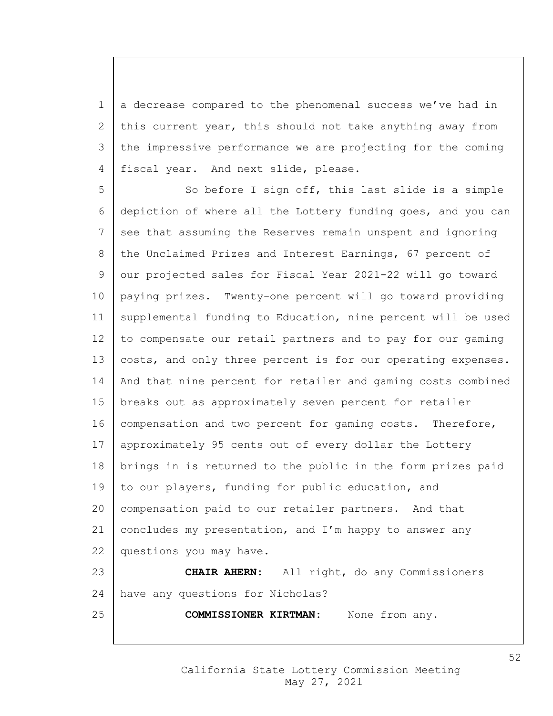1 a decrease compared to the phenomenal success we've had in 2 this current year, this should not take anything away from 3 the impressive performance we are projecting for the coming 4 | fiscal year. And next slide, please.

5 So before I sign off, this last slide is a simple 6 depiction of where all the Lottery funding goes, and you can 7 see that assuming the Reserves remain unspent and ignoring 8 the Unclaimed Prizes and Interest Earnings, 67 percent of 9 our projected sales for Fiscal Year 2021-22 will go toward 10 paying prizes. Twenty-one percent will go toward providing 11 | supplemental funding to Education, nine percent will be used 12 to compensate our retail partners and to pay for our gaming 13 costs, and only three percent is for our operating expenses. 14 And that nine percent for retailer and gaming costs combined 15 breaks out as approximately seven percent for retailer 16 | compensation and two percent for gaming costs. Therefore, 17 approximately 95 cents out of every dollar the Lottery 18 brings in is returned to the public in the form prizes paid 19 to our players, funding for public education, and 20 compensation paid to our retailer partners. And that 21 concludes my presentation, and I'm happy to answer any 22 | questions you may have. 23 **CHAIR AHERN:** All right, do any Commissioners

24 have any questions for Nicholas?

25 **COMMISSIONER KIRTMAN:** None from any.

California State Lottery Commission Meeting May 27, 2021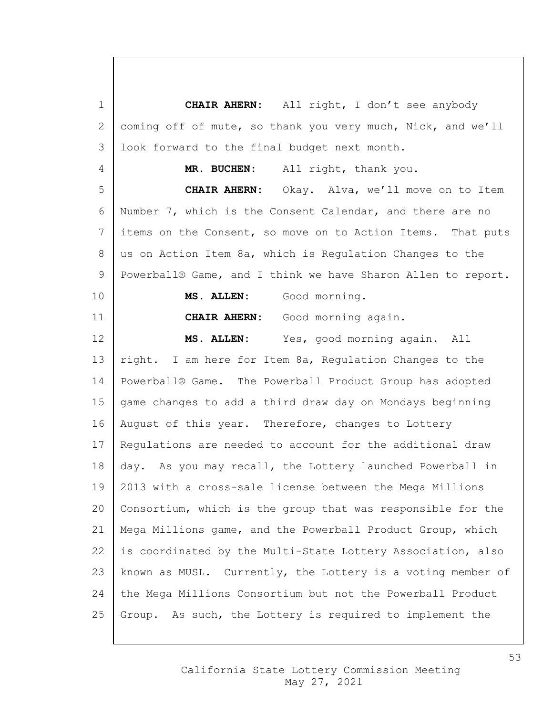**CHAIR AHERN:** All right, I don't see anybody 2 coming off of mute, so thank you very much, Nick, and we'll 3 | look forward to the final budget next month. **MR. BUCHEN:** All right, thank you. **CHAIR AHERN:** Okay. Alva, we'll move on to Item Number 7, which is the Consent Calendar, and there are no items on the Consent, so move on to Action Items. That puts 8 | us on Action Item 8a, which is Regulation Changes to the 9 | Powerball® Game, and I think we have Sharon Allen to report. **MS. ALLEN:** Good morning. **CHAIR AHERN:** Good morning again. **MS. ALLEN:** Yes, good morning again. All 13 | right. I am here for Item 8a, Regulation Changes to the Powerball® Game. The Powerball Product Group has adopted 15 | game changes to add a third draw day on Mondays beginning 16 | August of this year. Therefore, changes to Lottery Regulations are needed to account for the additional draw day. As you may recall, the Lottery launched Powerball in 2013 with a cross-sale license between the Mega Millions Consortium, which is the group that was responsible for the Mega Millions game, and the Powerball Product Group, which 22 is coordinated by the Multi-State Lottery Association, also known as MUSL. Currently, the Lottery is a voting member of the Mega Millions Consortium but not the Powerball Product 25 Group. As such, the Lottery is required to implement the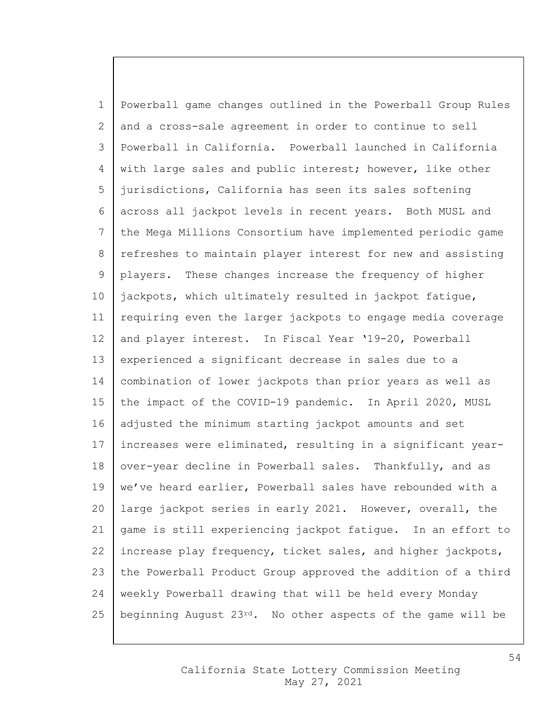Powerball game changes outlined in the Powerball Group Rules and a cross-sale agreement in order to continue to sell Powerball in California. Powerball launched in California 4 with large sales and public interest; however, like other jurisdictions, California has seen its sales softening across all jackpot levels in recent years. Both MUSL and the Mega Millions Consortium have implemented periodic game 8 refreshes to maintain player interest for new and assisting players. These changes increase the frequency of higher jackpots, which ultimately resulted in jackpot fatigue, requiring even the larger jackpots to engage media coverage 12 and player interest. In Fiscal Year '19-20, Powerball experienced a significant decrease in sales due to a combination of lower jackpots than prior years as well as 15 the impact of the COVID-19 pandemic. In April 2020, MUSL 16 adjusted the minimum starting jackpot amounts and set increases were eliminated, resulting in a significant year-18 over-year decline in Powerball sales. Thankfully, and as 19 | we've heard earlier, Powerball sales have rebounded with a large jackpot series in early 2021. However, overall, the game is still experiencing jackpot fatigue. In an effort to 22 increase play frequency, ticket sales, and higher jackpots, the Powerball Product Group approved the addition of a third weekly Powerball drawing that will be held every Monday 25 | beginning August  $23^{rd}$ . No other aspects of the game will be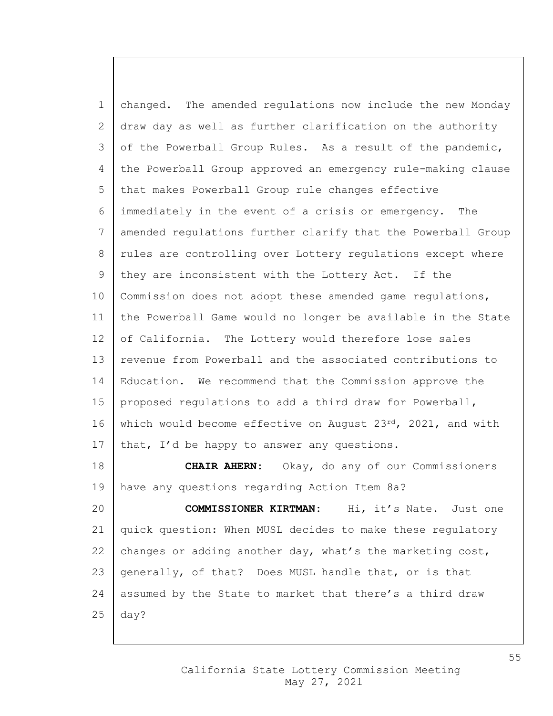changed. The amended regulations now include the new Monday draw day as well as further clarification on the authority of the Powerball Group Rules. As a result of the pandemic, the Powerball Group approved an emergency rule-making clause 5 that makes Powerball Group rule changes effective immediately in the event of a crisis or emergency. The amended regulations further clarify that the Powerball Group 8 | rules are controlling over Lottery regulations except where they are inconsistent with the Lottery Act. If the 10 | Commission does not adopt these amended game regulations, the Powerball Game would no longer be available in the State 12 of California. The Lottery would therefore lose sales 13 revenue from Powerball and the associated contributions to Education. We recommend that the Commission approve the 15 | proposed regulations to add a third draw for Powerball, 16 which would become effective on August 23 $rd$ , 2021, and with 17 | that, I'd be happy to answer any questions. **CHAIR AHERN:** Okay, do any of our Commissioners have any questions regarding Action Item 8a? **COMMISSIONER KIRTMAN:** Hi, it's Nate. Just one quick question: When MUSL decides to make these regulatory

22 changes or adding another day, what's the marketing cost, 23 generally, of that? Does MUSL handle that, or is that 24 assumed by the State to market that there's a third draw  $25$  day?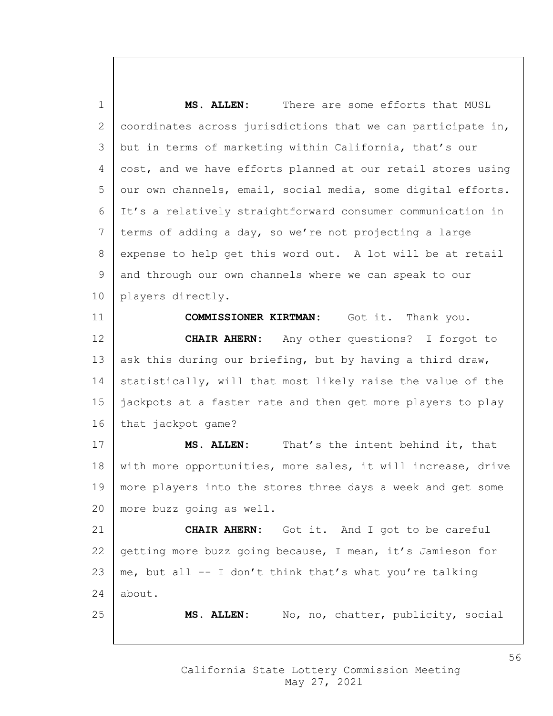**MS. ALLEN:** There are some efforts that MUSL 2 coordinates across jurisdictions that we can participate in, but in terms of marketing within California, that's our 4 cost, and we have efforts planned at our retail stores using our own channels, email, social media, some digital efforts. It's a relatively straightforward consumer communication in terms of adding a day, so we're not projecting a large 8 expense to help get this word out. A lot will be at retail and through our own channels where we can speak to our players directly. **COMMISSIONER KIRTMAN:** Got it. Thank you. **CHAIR AHERN:** Any other questions? I forgot to 13 ask this during our briefing, but by having a third draw, 14 statistically, will that most likely raise the value of the jackpots at a faster rate and then get more players to play 16 | that jackpot game? **MS. ALLEN:** That's the intent behind it, that 18 | with more opportunities, more sales, it will increase, drive more players into the stores three days a week and get some more buzz going as well. **CHAIR AHERN:** Got it. And I got to be careful 22 getting more buzz going because, I mean, it's Jamieson for 23 | me, but all  $-$  I don't think that's what you're talking about. **MS. ALLEN:** No, no, chatter, publicity, social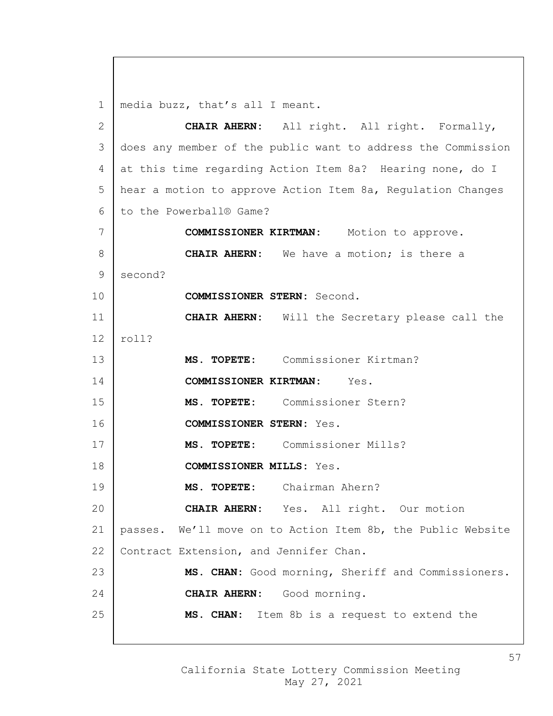media buzz, that's all I meant.

 **CHAIR AHERN:** All right. All right. Formally, does any member of the public want to address the Commission at this time regarding Action Item 8a? Hearing none, do I hear a motion to approve Action Item 8a, Regulation Changes 6 to the Powerball® Game? **COMMISSIONER KIRTMAN:** Motion to approve. **CHAIR AHERN:** We have a motion; is there a second? **COMMISSIONER STERN:** Second. **CHAIR AHERN:** Will the Secretary please call the  $12 \mid \text{roll?}$  **MS. TOPETE:** Commissioner Kirtman? **COMMISSIONER KIRTMAN:** Yes. **MS. TOPETE:** Commissioner Stern? **COMMISSIONER STERN:** Yes. **MS. TOPETE:** Commissioner Mills? **COMMISSIONER MILLS:** Yes. **MS. TOPETE:** Chairman Ahern? **CHAIR AHERN:** Yes. All right. Our motion passes. We'll move on to Action Item 8b, the Public Website 22 | Contract Extension, and Jennifer Chan. **MS. CHAN:** Good morning, Sheriff and Commissioners. **CHAIR AHERN:** Good morning. **MS. CHAN:** Item 8b is a request to extend the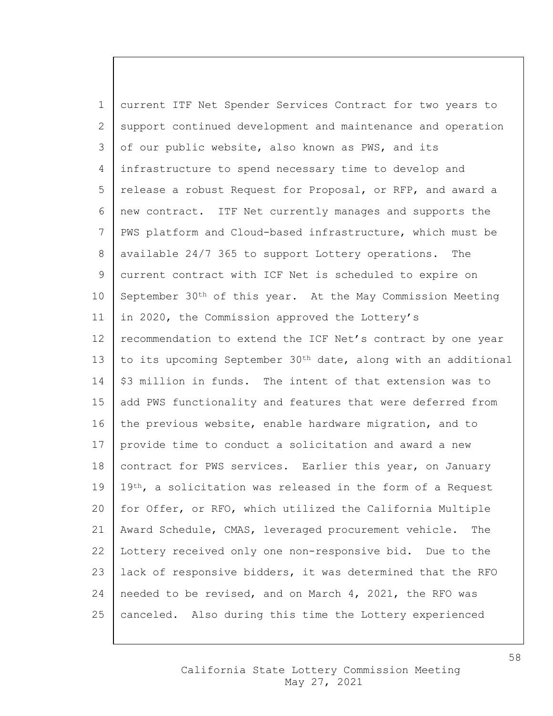1 current ITF Net Spender Services Contract for two years to 2 support continued development and maintenance and operation 3 of our public website, also known as PWS, and its 4 infrastructure to spend necessary time to develop and 5 release a robust Request for Proposal, or RFP, and award a 6 new contract. ITF Net currently manages and supports the 7 PWS platform and Cloud-based infrastructure, which must be 8 | available 24/7 365 to support Lottery operations. The 9 current contract with ICF Net is scheduled to expire on  $10$  September 30<sup>th</sup> of this year. At the May Commission Meeting 11 | in 2020, the Commission approved the Lottery's 12 recommendation to extend the ICF Net's contract by one year 13 to its upcoming September 30<sup>th</sup> date, along with an additional 14 | \$3 million in funds. The intent of that extension was to 15 add PWS functionality and features that were deferred from 16 the previous website, enable hardware migration, and to 17 provide time to conduct a solicitation and award a new 18 | contract for PWS services. Earlier this year, on January  $19 \mid 19$ <sup>th</sup>, a solicitation was released in the form of a Request 20 for Offer, or RFO, which utilized the California Multiple 21 Award Schedule, CMAS, leveraged procurement vehicle. The 22 Lottery received only one non-responsive bid. Due to the 23 | lack of responsive bidders, it was determined that the RFO 24 needed to be revised, and on March 4, 2021, the RFO was 25 | canceled. Also during this time the Lottery experienced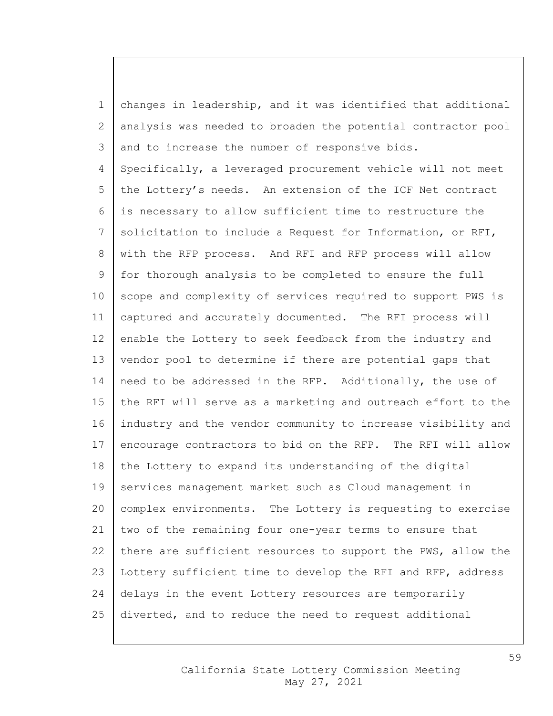1 changes in leadership, and it was identified that additional 2 analysis was needed to broaden the potential contractor pool 3 and to increase the number of responsive bids. 4 Specifically, a leveraged procurement vehicle will not meet 5 the Lottery's needs. An extension of the ICF Net contract 6 is necessary to allow sufficient time to restructure the 7 Solicitation to include a Request for Information, or RFI, 8 with the RFP process. And RFI and RFP process will allow 9 for thorough analysis to be completed to ensure the full 10 | scope and complexity of services required to support PWS is 11 captured and accurately documented. The RFI process will 12 enable the Lottery to seek feedback from the industry and 13 vendor pool to determine if there are potential gaps that 14 | need to be addressed in the RFP. Additionally, the use of 15 the RFI will serve as a marketing and outreach effort to the 16 industry and the vendor community to increase visibility and 17 encourage contractors to bid on the RFP. The RFI will allow  $18$  the Lottery to expand its understanding of the digital 19 services management market such as Cloud management in 20 complex environments. The Lottery is requesting to exercise 21 two of the remaining four one-year terms to ensure that 22 there are sufficient resources to support the PWS, allow the 23 Lottery sufficient time to develop the RFI and RFP, address 24 delays in the event Lottery resources are temporarily 25 diverted, and to reduce the need to request additional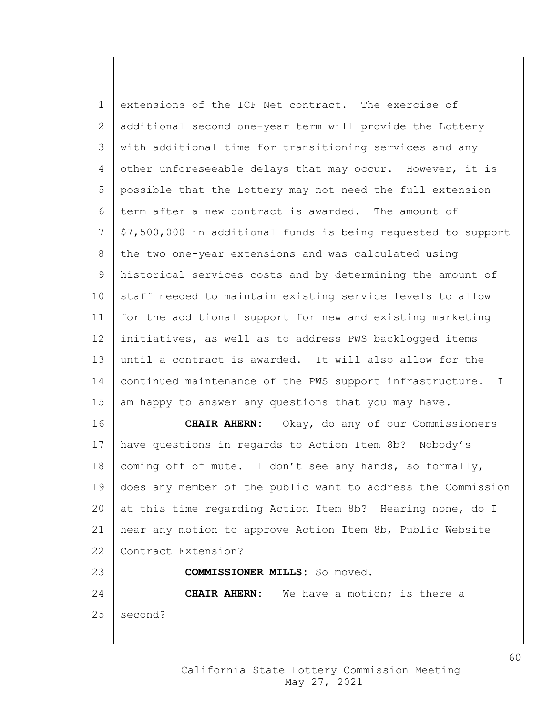extensions of the ICF Net contract. The exercise of additional second one-year term will provide the Lottery with additional time for transitioning services and any 4 other unforeseeable delays that may occur. However, it is possible that the Lottery may not need the full extension term after a new contract is awarded. The amount of \$7,500,000 in additional funds is being requested to support 8 the two one-year extensions and was calculated using historical services costs and by determining the amount of 10 staff needed to maintain existing service levels to allow for the additional support for new and existing marketing initiatives, as well as to address PWS backlogged items until a contract is awarded. It will also allow for the 14 continued maintenance of the PWS support infrastructure. I 15 am happy to answer any questions that you may have.

 **CHAIR AHERN:** Okay, do any of our Commissioners have questions in regards to Action Item 8b? Nobody's 18 coming off of mute. I don't see any hands, so formally, does any member of the public want to address the Commission 20 at this time regarding Action Item 8b? Hearing none, do I hear any motion to approve Action Item 8b, Public Website 22 Contract Extension? **COMMISSIONER MILLS:** So moved. **CHAIR AHERN:** We have a motion; is there a second?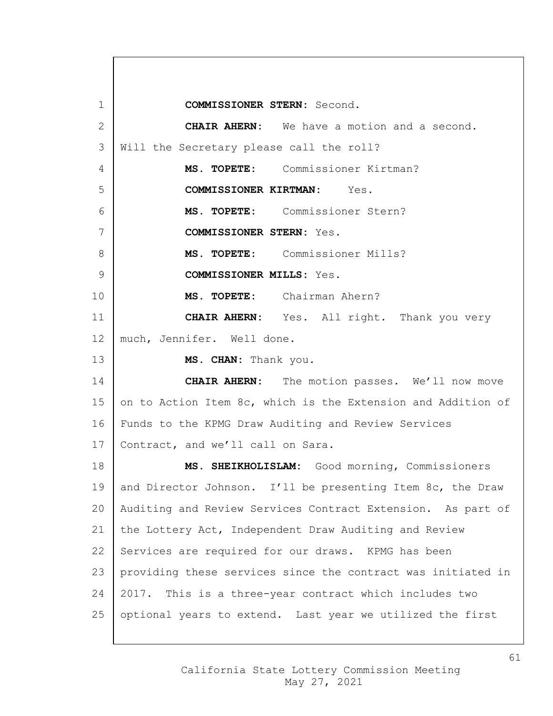**COMMISSIONER STERN:** Second. **CHAIR AHERN:** We have a motion and a second. Will the Secretary please call the roll? **MS. TOPETE:** Commissioner Kirtman? **COMMISSIONER KIRTMAN:** Yes. **MS. TOPETE:** Commissioner Stern? **COMMISSIONER STERN:** Yes. **MS. TOPETE:** Commissioner Mills? **COMMISSIONER MILLS:** Yes. **MS. TOPETE:** Chairman Ahern? **CHAIR AHERN:** Yes. All right. Thank you very 12 much, Jennifer. Well done. **MS. CHAN:** Thank you. **CHAIR AHERN:** The motion passes. We'll now move 15 on to Action Item 8c, which is the Extension and Addition of Funds to the KPMG Draw Auditing and Review Services 17 | Contract, and we'll call on Sara. **MS. SHEIKHOLISLAM:** Good morning, Commissioners 19 and Director Johnson. I'll be presenting Item 8c, the Draw Auditing and Review Services Contract Extension. As part of the Lottery Act, Independent Draw Auditing and Review 22 Services are required for our draws. KPMG has been providing these services since the contract was initiated in 2017. This is a three-year contract which includes two optional years to extend. Last year we utilized the first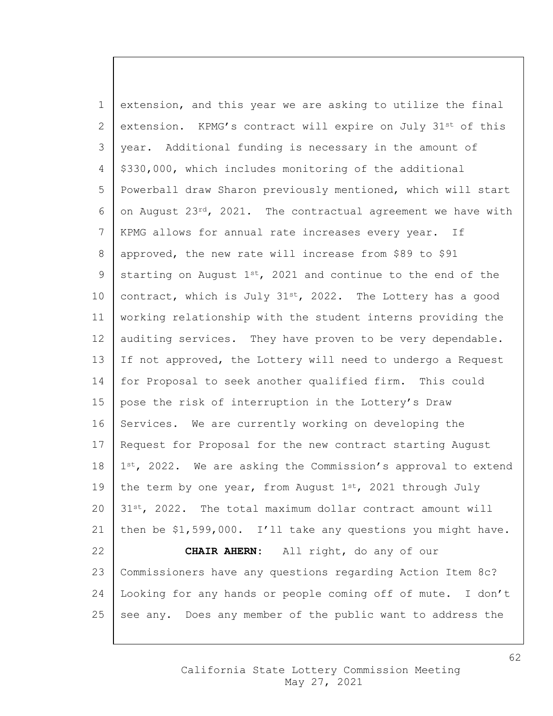1 extension, and this year we are asking to utilize the final 2 extension. KPMG's contract will expire on July  $31^{st}$  of this 3 year. Additional funding is necessary in the amount of 4 | \$330,000, which includes monitoring of the additional 5 Powerball draw Sharon previously mentioned, which will start 6 on August 23rd, 2021. The contractual agreement we have with 7 KPMG allows for annual rate increases every year. If 8 approved, the new rate will increase from \$89 to \$91 9 starting on August  $1^{st}$ , 2021 and continue to the end of the 10 | contract, which is July  $31^{st}$ , 2022. The Lottery has a good 11 working relationship with the student interns providing the 12 auditing services. They have proven to be very dependable. 13 If not approved, the Lottery will need to undergo a Request 14 for Proposal to seek another qualified firm. This could 15 | pose the risk of interruption in the Lottery's Draw 16 Services. We are currently working on developing the 17 | Request for Proposal for the new contract starting August  $18 \mid 1^{st}$ , 2022. We are asking the Commission's approval to extend 19 the term by one year, from August  $1^{st}$ , 2021 through July  $20\mid 31$ <sup>st</sup>, 2022. The total maximum dollar contract amount will 21 then be \$1,599,000. I'll take any questions you might have. 22 **CHAIR AHERN:** All right, do any of our 23 Commissioners have any questions regarding Action Item 8c? 24 Looking for any hands or people coming off of mute. I don't 25 see any. Does any member of the public want to address the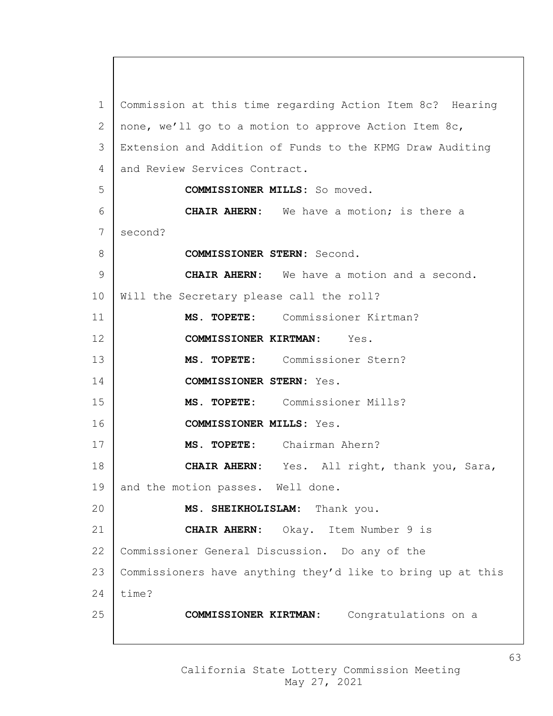Commission at this time regarding Action Item 8c? Hearing 2 | none, we'll go to a motion to approve Action Item 8c, Extension and Addition of Funds to the KPMG Draw Auditing 4 and Review Services Contract. **COMMISSIONER MILLS:** So moved. **CHAIR AHERN:** We have a motion; is there a 7 second? **COMMISSIONER STERN:** Second. **CHAIR AHERN:** We have a motion and a second. Will the Secretary please call the roll? **MS. TOPETE:** Commissioner Kirtman? **COMMISSIONER KIRTMAN:** Yes. **MS. TOPETE:** Commissioner Stern? **COMMISSIONER STERN:** Yes. **MS. TOPETE:** Commissioner Mills? **COMMISSIONER MILLS:** Yes. **MS. TOPETE:** Chairman Ahern? **CHAIR AHERN:** Yes. All right, thank you, Sara, 19 and the motion passes. Well done. **MS. SHEIKHOLISLAM:** Thank you. **CHAIR AHERN:** Okay. Item Number 9 is Commissioner General Discussion. Do any of the Commissioners have anything they'd like to bring up at this  $time?$ **COMMISSIONER KIRTMAN:** Congratulations on a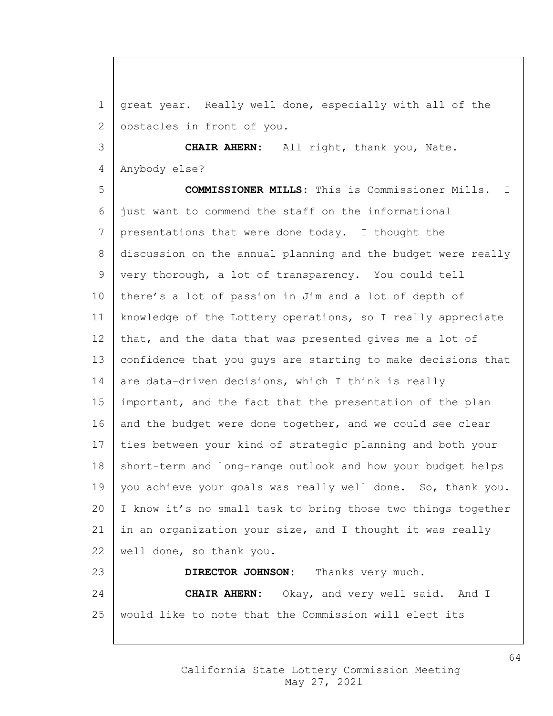great year. Really well done, especially with all of the 2 obstacles in front of you.

 **CHAIR AHERN:** All right, thank you, Nate. Anybody else?

 **COMMISSIONER MILLS:** This is Commissioner Mills. I just want to commend the staff on the informational presentations that were done today. I thought the 8 discussion on the annual planning and the budget were really very thorough, a lot of transparency. You could tell there's a lot of passion in Jim and a lot of depth of knowledge of the Lottery operations, so I really appreciate 12 that, and the data that was presented gives me a lot of confidence that you guys are starting to make decisions that 14 are data-driven decisions, which I think is really 15 | important, and the fact that the presentation of the plan 16 and the budget were done together, and we could see clear ties between your kind of strategic planning and both your 18 short-term and long-range outlook and how your budget helps 19 you achieve your goals was really well done. So, thank you. I know it's no small task to bring those two things together in an organization your size, and I thought it was really well done, so thank you. **DIRECTOR JOHNSON:** Thanks very much. **CHAIR AHERN:** Okay, and very well said. And I

would like to note that the Commission will elect its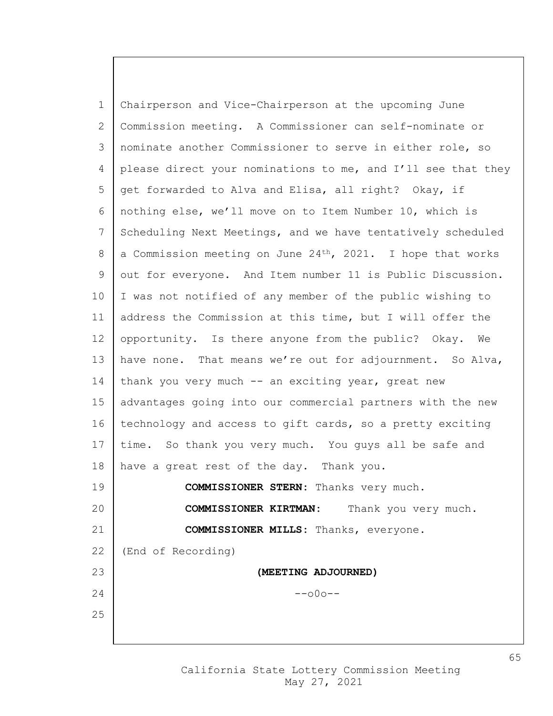1 Chairperson and Vice-Chairperson at the upcoming June 2 Commission meeting. A Commissioner can self-nominate or 3 nominate another Commissioner to serve in either role, so 4 please direct your nominations to me, and I'll see that they 5 get forwarded to Alva and Elisa, all right? Okay, if 6 nothing else, we'll move on to Item Number 10, which is 7 Scheduling Next Meetings, and we have tentatively scheduled 8 | a Commission meeting on June 24<sup>th</sup>, 2021. I hope that works 9 out for everyone. And Item number 11 is Public Discussion. 10 I was not notified of any member of the public wishing to 11 | address the Commission at this time, but I will offer the 12 opportunity. Is there anyone from the public? Okay. We 13 have none. That means we're out for adjournment. So Alva, 14 | thank you very much -- an exciting year, great new 15 advantages going into our commercial partners with the new 16 technology and access to gift cards, so a pretty exciting 17 time. So thank you very much. You guys all be safe and 18 have a great rest of the day. Thank you. 19 **COMMISSIONER STERN:** Thanks very much. 20 **COMMISSIONER KIRTMAN:** Thank you very much. 21 **COMMISSIONER MILLS:** Thanks, everyone. 22 (End of Recording) 23 **(MEETING ADJOURNED)**  $24$  --000--25